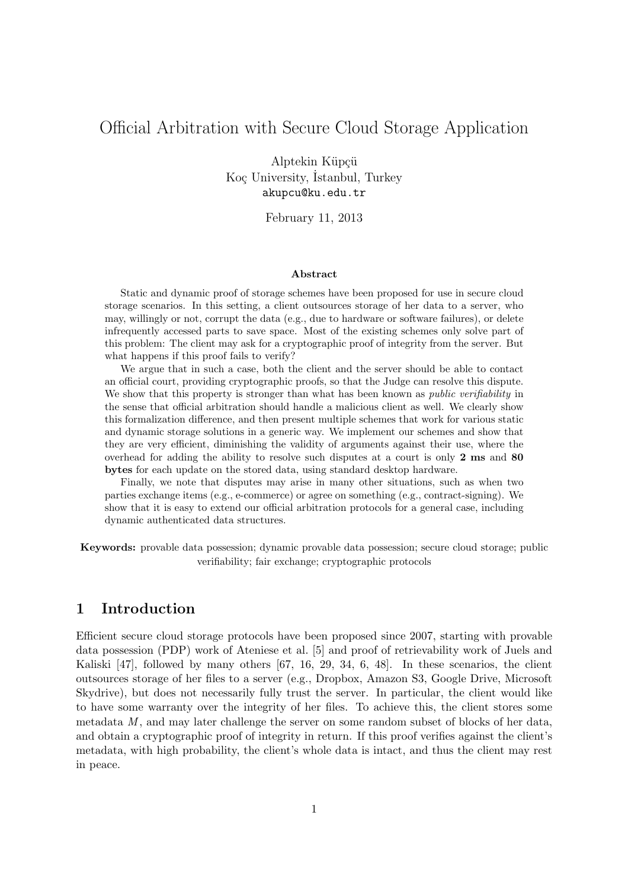# Official Arbitration with Secure Cloud Storage Application

Alptekin Küpçü Koç University, Istanbul, Turkey akupcu@ku.edu.tr

February 11, 2013

### **Abstract**

Static and dynamic proof of storage schemes have been proposed for use in secure cloud storage scenarios. In this setting, a client outsources storage of her data to a server, who may, willingly or not, corrupt the data (e.g., due to hardware or software failures), or delete infrequently accessed parts to save space. Most of the existing schemes only solve part of this problem: The client may ask for a cryptographic proof of integrity from the server. But what happens if this proof fails to verify?

We argue that in such a case, both the client and the server should be able to contact an official court, providing cryptographic proofs, so that the Judge can resolve this dispute. We show that this property is stronger than what has been known as *public verifiability* in the sense that official arbitration should handle a malicious client as well. We clearly show this formalization difference, and then present multiple schemes that work for various static and dynamic storage solutions in a generic way. We implement our schemes and show that they are very efficient, diminishing the validity of arguments against their use, where the overhead for adding the ability to resolve such disputes at a court is only **2 ms** and **80 bytes** for each update on the stored data, using standard desktop hardware.

Finally, we note that disputes may arise in many other situations, such as when two parties exchange items (e.g., e-commerce) or agree on something (e.g., contract-signing). We show that it is easy to extend our official arbitration protocols for a general case, including dynamic authenticated data structures.

**Keywords:** provable data possession; dynamic provable data possession; secure cloud storage; public verifiability; fair exchange; cryptographic protocols

## **1 Introduction**

Efficient secure cloud storage protocols have been proposed since 2007, starting with provable data possession (PDP) work of Ateniese et al. [5] and proof of retrievability work of Juels and Kaliski [47], followed by many others [67, 16, 29, 34, 6, 48]. In these scenarios, the client outsources storage of her files to a server (e.g., Dropbox, Amazon S3, Google Drive, Microsoft Skydrive), but does not necessarily fully trust the server. In particular, the client would like to have some warranty over the integrity of her files. To achieve this, the client stores some metadata *M* , and may later challenge the server on some random subset of blocks of her data, and obtain a cryptographic proof of integrity in return. If this proof verifies against the client's metadata, with high probability, the client's whole data is intact, and thus the client may rest in peace.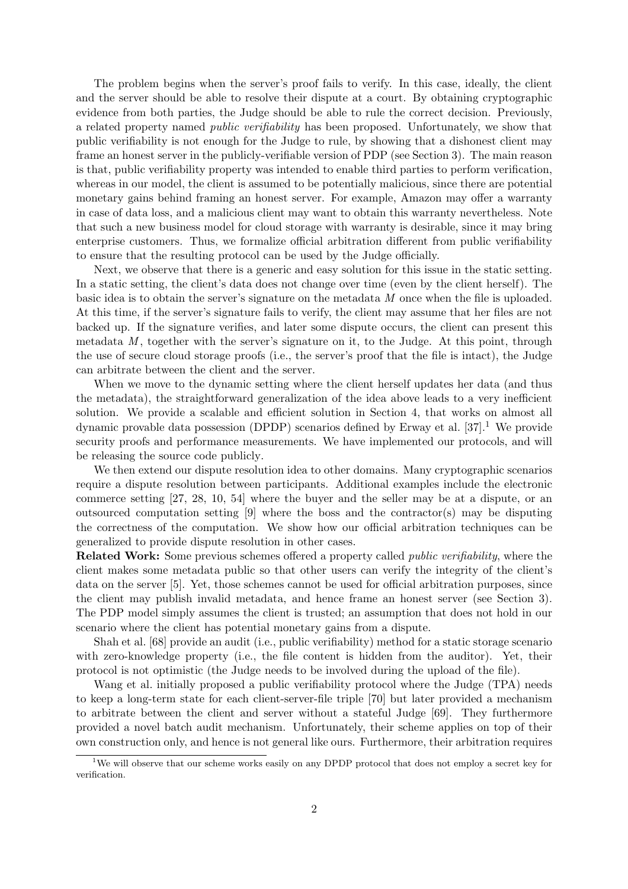The problem begins when the server's proof fails to verify. In this case, ideally, the client and the server should be able to resolve their dispute at a court. By obtaining cryptographic evidence from both parties, the Judge should be able to rule the correct decision. Previously, a related property named *public verifiability* has been proposed. Unfortunately, we show that public verifiability is not enough for the Judge to rule, by showing that a dishonest client may frame an honest server in the publicly-verifiable version of PDP (see Section 3). The main reason is that, public verifiability property was intended to enable third parties to perform verification, whereas in our model, the client is assumed to be potentially malicious, since there are potential monetary gains behind framing an honest server. For example, Amazon may offer a warranty in case of data loss, and a malicious client may want to obtain this warranty nevertheless. Note that such a new business model for cloud storage with warranty is desirable, since it may bring enterprise customers. Thus, we formalize official arbitration different from public verifiability to ensure that the resulting protocol can be used by the Judge officially.

Next, we observe that there is a generic and easy solution for this issue in the static setting. In a static setting, the client's data does not change over time (even by the client herself). The basic idea is to obtain the server's signature on the metadata *M* once when the file is uploaded. At this time, if the server's signature fails to verify, the client may assume that her files are not backed up. If the signature verifies, and later some dispute occurs, the client can present this metadata *M*, together with the server's signature on it, to the Judge. At this point, through the use of secure cloud storage proofs (i.e., the server's proof that the file is intact), the Judge can arbitrate between the client and the server.

When we move to the dynamic setting where the client herself updates her data (and thus the metadata), the straightforward generalization of the idea above leads to a very inefficient solution. We provide a scalable and efficient solution in Section 4, that works on almost all dynamic provable data possession (DPDP) scenarios defined by Erway et al.  $[37]$ <sup>1</sup>. We provide security proofs and performance measurements. We have implemented our protocols, and will be releasing the source code publicly.

We then extend our dispute resolution idea to other domains. Many cryptographic scenarios require a dispute resolution between participants. Additional examples include the electronic commerce setting [27, 28, 10, 54] where the buyer and the seller may be at a dispute, or an outsourced computation setting [9] where the boss and the contractor(s) may be disputing the correctness of the computation. We show how our official arbitration techniques can be generalized to provide dispute resolution in other cases.

**Related Work:** Some previous schemes offered a property called *public verifiability*, where the client makes some metadata public so that other users can verify the integrity of the client's data on the server [5]. Yet, those schemes cannot be used for official arbitration purposes, since the client may publish invalid metadata, and hence frame an honest server (see Section 3). The PDP model simply assumes the client is trusted; an assumption that does not hold in our scenario where the client has potential monetary gains from a dispute.

Shah et al. [68] provide an audit (i.e., public verifiability) method for a static storage scenario with zero-knowledge property (i.e., the file content is hidden from the auditor). Yet, their protocol is not optimistic (the Judge needs to be involved during the upload of the file).

Wang et al. initially proposed a public verifiability protocol where the Judge (TPA) needs to keep a long-term state for each client-server-file triple [70] but later provided a mechanism to arbitrate between the client and server without a stateful Judge [69]. They furthermore provided a novel batch audit mechanism. Unfortunately, their scheme applies on top of their own construction only, and hence is not general like ours. Furthermore, their arbitration requires

<sup>&</sup>lt;sup>1</sup>We will observe that our scheme works easily on any DPDP protocol that does not employ a secret key for verification.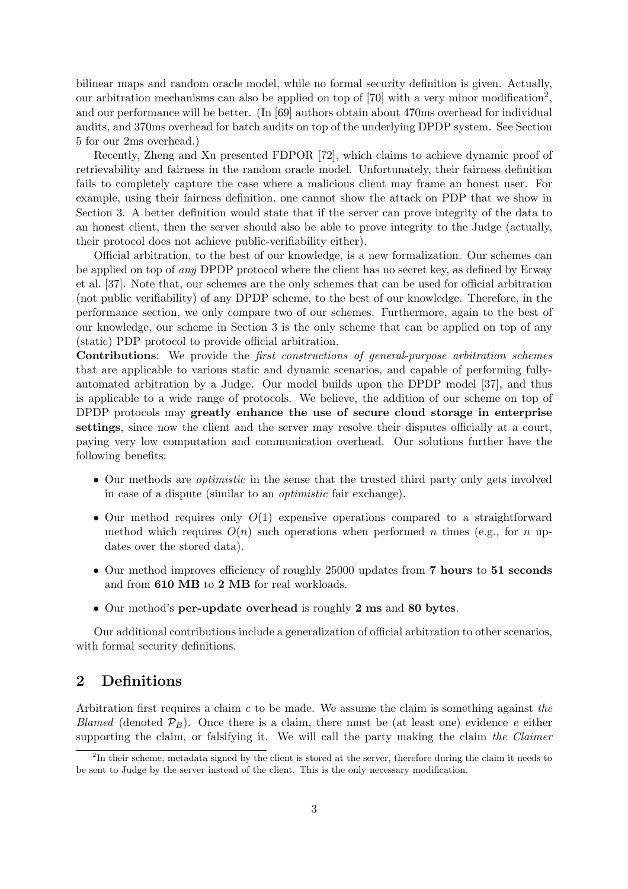bilinear maps and random oracle model, while no formal security definition is given. Actually, our arbitration mechanisms can also be applied on top of  $[70]$  with a very minor modification<sup>2</sup>, and our performance will be better. (In [69] authors obtain about 470ms overhead for individual audits, and 370ms overhead for batch audits on top of the underlying DPDP system. See Section 5 for our 2ms overhead.)

Recently, Zheng and Xu presented FDPOR [72], which claims to achieve dynamic proof of retrievability and fairness in the random oracle model. Unfortunately, their fairness definition fails to completely capture the case where a malicious client may frame an honest user. For example, using their fairness definition, one cannot show the attack on PDP that we show in Section 3. A better definition would state that if the server can prove integrity of the data to an honest client, then the server should also be able to prove integrity to the Judge (actually, their protocol does not achieve public-verifiability either).

Official arbitration, to the best of our knowledge, is a new formalization. Our schemes can be applied on top of *any* DPDP protocol where the client has no secret key, as defined by Erway et al. [37]. Note that, our schemes are the only schemes that can be used for official arbitration (not public verifiability) of any DPDP scheme, to the best of our knowledge. Therefore, in the performance section, we only compare two of our schemes. Furthermore, again to the best of our knowledge, our scheme in Section 3 is the only scheme that can be applied on top of any (static) PDP protocol to provide official arbitration.

**Contributions**: We provide the *first constructions of general-purpose arbitration schemes* that are applicable to various static and dynamic scenarios, and capable of performing fullyautomated arbitration by a Judge. Our model builds upon the DPDP model [37], and thus is applicable to a wide range of protocols. We believe, the addition of our scheme on top of DPDP protocols may **greatly enhance the use of secure cloud storage in enterprise settings**, since now the client and the server may resolve their disputes officially at a court, paying very low computation and communication overhead. Our solutions further have the following benefits:

- Our methods are *optimistic* in the sense that the trusted third party only gets involved in case of a dispute (similar to an *optimistic* fair exchange).
- Our method requires only  $O(1)$  expensive operations compared to a straightforward method which requires  $O(n)$  such operations when performed *n* times (e.g., for *n* updates over the stored data).
- *•* Our method improves efficiency of roughly 25000 updates from **7 hours** to **51 seconds** and from **610 MB** to **2 MB** for real workloads.
- *•* Our method's **per-update overhead** is roughly **2 ms** and **80 bytes**.

Our additional contributions include a generalization of official arbitration to other scenarios, with formal security definitions.

### **2 Definitions**

Arbitration first requires a claim *c* to be made. We assume the claim is something against *the Blamed* (denoted  $\mathcal{P}_B$ ). Once there is a claim, there must be (at least one) evidence *e* either supporting the claim, or falsifying it. We will call the party making the claim *the Claimer*

<sup>&</sup>lt;sup>2</sup>In their scheme, metadata signed by the client is stored at the server, therefore during the claim it needs to be sent to Judge by the server instead of the client. This is the only necessary modification.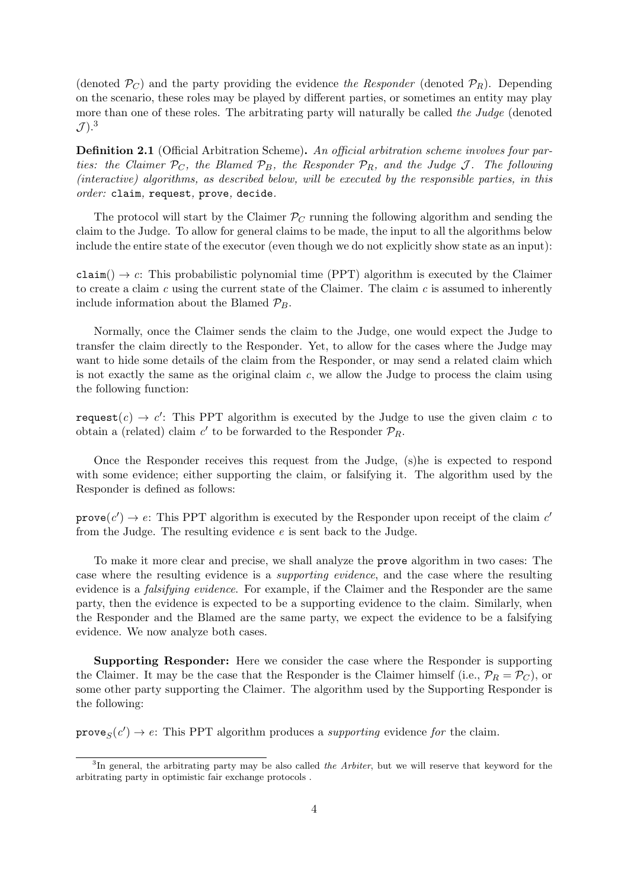(denoted  $\mathcal{P}_C$ ) and the party providing the evidence *the Responder* (denoted  $\mathcal{P}_R$ ). Depending on the scenario, these roles may be played by different parties, or sometimes an entity may play more than one of these roles. The arbitrating party will naturally be called *the Judge* (denoted  $\mathcal{J}$ ).<sup>3</sup>

**Definition 2.1** (Official Arbitration Scheme)**.** *An official arbitration scheme involves four parties: the Claimer*  $P_C$ *, the Blamed*  $P_B$ *, the Responder*  $P_R$ *, and the Judge J. The following (interactive) algorithms, as described below, will be executed by the responsible parties, in this order:* claim*,* request*,* prove*,* decide*.*

The protocol will start by the Claimer  $P_C$  running the following algorithm and sending the claim to the Judge. To allow for general claims to be made, the input to all the algorithms below include the entire state of the executor (even though we do not explicitly show state as an input):

 $clain() \rightarrow c$ : This probabilistic polynomial time (PPT) algorithm is executed by the Claimer to create a claim *c* using the current state of the Claimer. The claim *c* is assumed to inherently include information about the Blamed  $\mathcal{P}_B$ .

Normally, once the Claimer sends the claim to the Judge, one would expect the Judge to transfer the claim directly to the Responder. Yet, to allow for the cases where the Judge may want to hide some details of the claim from the Responder, or may send a related claim which is not exactly the same as the original claim *c*, we allow the Judge to process the claim using the following function:

 $\texttt{request}(c) \rightarrow c'$ : This PPT algorithm is executed by the Judge to use the given claim  $c$  to obtain a (related) claim  $c'$  to be forwarded to the Responder  $P_R$ .

Once the Responder receives this request from the Judge, (s)he is expected to respond with some evidence; either supporting the claim, or falsifying it. The algorithm used by the Responder is defined as follows:

 $\mathsf{prove}(c') \to e$ : This PPT algorithm is executed by the Responder upon receipt of the claim  $c'$ from the Judge. The resulting evidence *e* is sent back to the Judge.

To make it more clear and precise, we shall analyze the prove algorithm in two cases: The case where the resulting evidence is a *supporting evidence*, and the case where the resulting evidence is a *falsifying evidence*. For example, if the Claimer and the Responder are the same party, then the evidence is expected to be a supporting evidence to the claim. Similarly, when the Responder and the Blamed are the same party, we expect the evidence to be a falsifying evidence. We now analyze both cases.

**Supporting Responder:** Here we consider the case where the Responder is supporting the Claimer. It may be the case that the Responder is the Claimer himself (i.e.,  $\mathcal{P}_R = \mathcal{P}_C$ ), or some other party supporting the Claimer. The algorithm used by the Supporting Responder is the following:

 $\text{prove}_S(c') \to e$ : This PPT algorithm produces a *supporting* evidence *for* the claim.

<sup>3</sup> In general, the arbitrating party may be also called *the Arbiter*, but we will reserve that keyword for the arbitrating party in optimistic fair exchange protocols .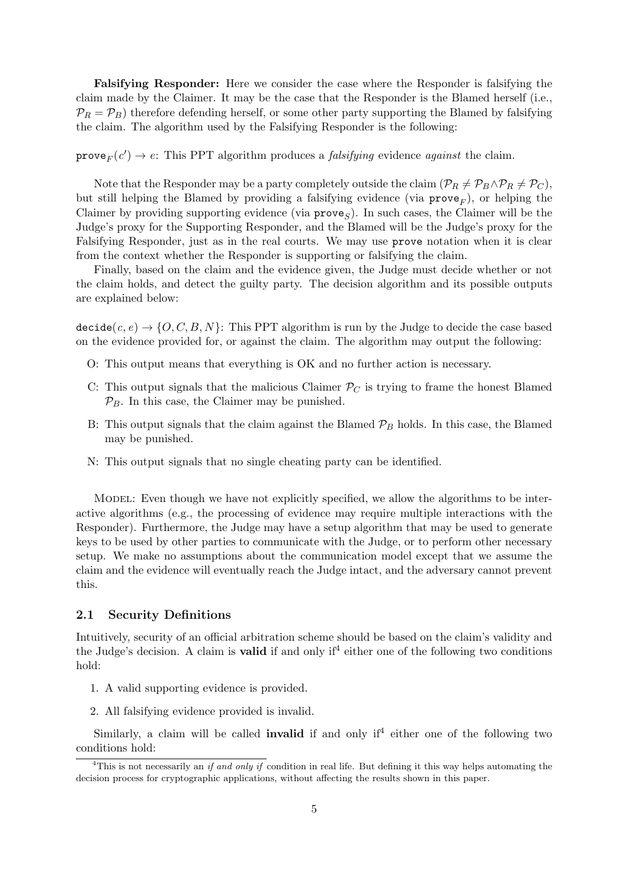**Falsifying Responder:** Here we consider the case where the Responder is falsifying the claim made by the Claimer. It may be the case that the Responder is the Blamed herself (i.e.,  $P_R = P_B$ ) therefore defending herself, or some other party supporting the Blamed by falsifying the claim. The algorithm used by the Falsifying Responder is the following:

 $\text{prove}_F(c') \to e$ : This PPT algorithm produces a *falsifying* evidence *against* the claim.

Note that the Responder may be a party completely outside the claim  $(\mathcal{P}_R \neq \mathcal{P}_B \land \mathcal{P}_R \neq \mathcal{P}_C)$ , but still helping the Blamed by providing a falsifying evidence (via  $\text{prove}_F$ ), or helping the Claimer by providing supporting evidence (via  $\text{prove}_S$ ). In such cases, the Claimer will be the Judge's proxy for the Supporting Responder, and the Blamed will be the Judge's proxy for the Falsifying Responder, just as in the real courts. We may use prove notation when it is clear from the context whether the Responder is supporting or falsifying the claim.

Finally, based on the claim and the evidence given, the Judge must decide whether or not the claim holds, and detect the guilty party. The decision algorithm and its possible outputs are explained below:

 $\text{decide}(c, e) \rightarrow \{O, C, B, N\}$ : This PPT algorithm is run by the Judge to decide the case based on the evidence provided for, or against the claim. The algorithm may output the following:

- O: This output means that everything is OK and no further action is necessary.
- C: This output signals that the malicious Claimer  $P_C$  is trying to frame the honest Blamed  $\mathcal{P}_B$ . In this case, the Claimer may be punished.
- B: This output signals that the claim against the Blamed *P<sup>B</sup>* holds. In this case, the Blamed may be punished.
- N: This output signals that no single cheating party can be identified.

Model: Even though we have not explicitly specified, we allow the algorithms to be interactive algorithms (e.g., the processing of evidence may require multiple interactions with the Responder). Furthermore, the Judge may have a setup algorithm that may be used to generate keys to be used by other parties to communicate with the Judge, or to perform other necessary setup. We make no assumptions about the communication model except that we assume the claim and the evidence will eventually reach the Judge intact, and the adversary cannot prevent this.

#### **2.1 Security Definitions**

Intuitively, security of an official arbitration scheme should be based on the claim's validity and the Judge's decision. A claim is **valid** if and only if<sup>4</sup> either one of the following two conditions hold:

- 1. A valid supporting evidence is provided.
- 2. All falsifying evidence provided is invalid.

Similarly, a claim will be called **invalid** if and only if<sup>4</sup> either one of the following two conditions hold:

<sup>&</sup>lt;sup>4</sup>This is not necessarily an *if and only if* condition in real life. But defining it this way helps automating the decision process for cryptographic applications, without affecting the results shown in this paper.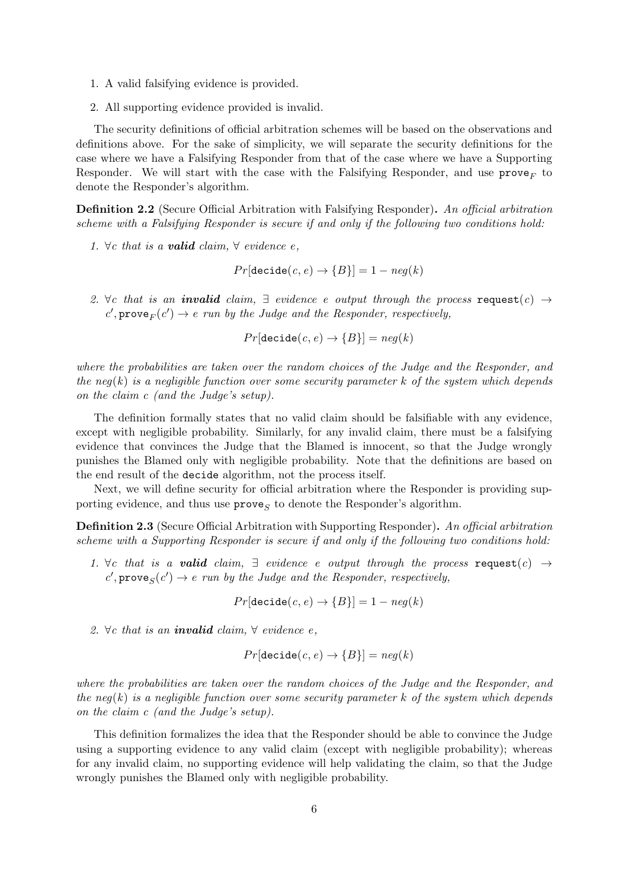- 1. A valid falsifying evidence is provided.
- 2. All supporting evidence provided is invalid.

The security definitions of official arbitration schemes will be based on the observations and definitions above. For the sake of simplicity, we will separate the security definitions for the case where we have a Falsifying Responder from that of the case where we have a Supporting Responder. We will start with the case with the Falsifying Responder, and use  $\mathbf{prove}_F$  to denote the Responder's algorithm.

**Definition 2.2** (Secure Official Arbitration with Falsifying Responder)**.** *An official arbitration scheme with a Falsifying Responder is secure if and only if the following two conditions hold:*

*1. ∀c that is a valid claim, ∀ evidence e,*

$$
Pr[{\sf decide}(c, e) \rightarrow \{B\}] = 1 - neg(k)
$$

2.  $\forall c$  that is an **invalid** claim,  $\exists$  evidence e output through the process request(c)  $\rightarrow$  $c'$ , prove<sub>*F*</sub>( $c'$ )  $\rightarrow$  *e run by the Judge and the Responder, respectively,* 

$$
Pr[{\sf decide}(c, e) \rightarrow \{B\}] = neg(k)
$$

*where the probabilities are taken over the random choices of the Judge and the Responder, and the neg*(*k*) *is a negligible function over some security parameter k of the system which depends on the claim c (and the Judge's setup).*

The definition formally states that no valid claim should be falsifiable with any evidence, except with negligible probability. Similarly, for any invalid claim, there must be a falsifying evidence that convinces the Judge that the Blamed is innocent, so that the Judge wrongly punishes the Blamed only with negligible probability. Note that the definitions are based on the end result of the decide algorithm, not the process itself.

Next, we will define security for official arbitration where the Responder is providing supporting evidence, and thus use  $\text{prove}_S$  to denote the Responder's algorithm.

**Definition 2.3** (Secure Official Arbitration with Supporting Responder)**.** *An official arbitration scheme with a Supporting Responder is secure if and only if the following two conditions hold:*

*1.*  $∀c$  that is a **valid** claim,  $∃$  evidence e output through the process request(c) →  $c'$ , prove<sub>*S*</sub> $(c') \rightarrow e$  *run by the Judge and the Responder, respectively,* 

$$
Pr[\texttt{decide}(c, e) \to \{B\}] = 1 - neg(k)
$$

*2. ∀c that is an invalid claim, ∀ evidence e,*

$$
Pr[{\tt decide}(c, e) \rightarrow \{B\}] = neg(k)
$$

*where the probabilities are taken over the random choices of the Judge and the Responder, and the neg*(*k*) *is a negligible function over some security parameter k of the system which depends on the claim c (and the Judge's setup).*

This definition formalizes the idea that the Responder should be able to convince the Judge using a supporting evidence to any valid claim (except with negligible probability); whereas for any invalid claim, no supporting evidence will help validating the claim, so that the Judge wrongly punishes the Blamed only with negligible probability.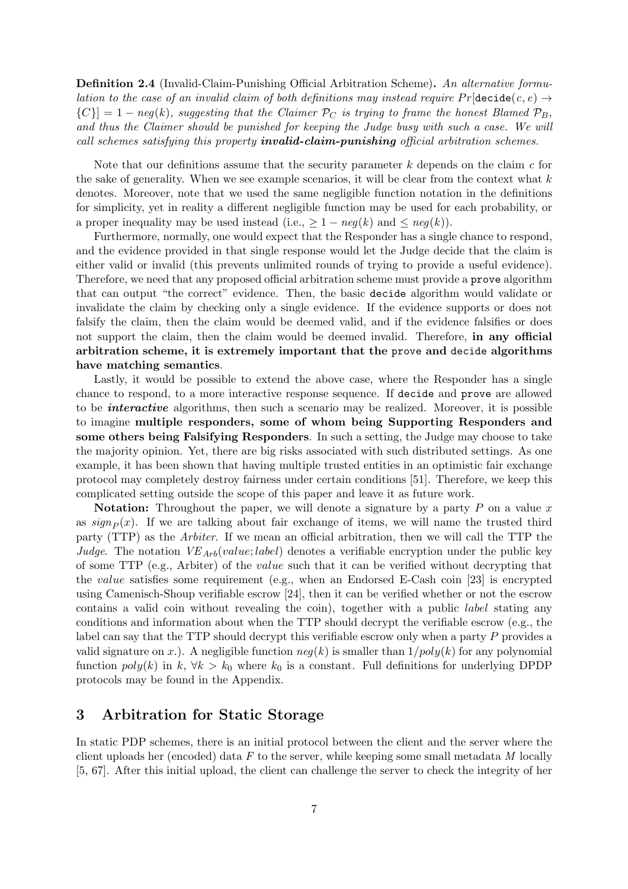**Definition 2.4** (Invalid-Claim-Punishing Official Arbitration Scheme)**.** *An alternative formulation to the case of an invalid claim of both definitions may instead require*  $Pr[{\text{decide}}(c, e) \rightarrow {\text{encide}}(c, e)]$  ${C}$ <sup>[</sup> $C$ <sup>]</sup> = 1 *− neg*(*k*)*, suggesting that the Claimer*  $P_C$  *is trying to frame the honest Blamed*  $P_B$ *,* and thus the Claimer should be punished for keeping the Judge busy with such a case. We will *call schemes satisfying this property invalid-claim-punishing official arbitration schemes.*

Note that our definitions assume that the security parameter *k* depends on the claim *c* for the sake of generality. When we see example scenarios, it will be clear from the context what *k* denotes. Moreover, note that we used the same negligible function notation in the definitions for simplicity, yet in reality a different negligible function may be used for each probability, or a proper inequality may be used instead (i.e.,  $\geq 1 - neg(k)$  and  $\leq neg(k)$ ).

Furthermore, normally, one would expect that the Responder has a single chance to respond, and the evidence provided in that single response would let the Judge decide that the claim is either valid or invalid (this prevents unlimited rounds of trying to provide a useful evidence). Therefore, we need that any proposed official arbitration scheme must provide a prove algorithm that can output "the correct" evidence. Then, the basic decide algorithm would validate or invalidate the claim by checking only a single evidence. If the evidence supports or does not falsify the claim, then the claim would be deemed valid, and if the evidence falsifies or does not support the claim, then the claim would be deemed invalid. Therefore, **in any official arbitration scheme, it is extremely important that the** prove **and** decide **algorithms have matching semantics**.

Lastly, it would be possible to extend the above case, where the Responder has a single chance to respond, to a more interactive response sequence. If decide and prove are allowed to be *interactive* algorithms, then such a scenario may be realized. Moreover, it is possible to imagine **multiple responders, some of whom being Supporting Responders and some others being Falsifying Responders**. In such a setting, the Judge may choose to take the majority opinion. Yet, there are big risks associated with such distributed settings. As one example, it has been shown that having multiple trusted entities in an optimistic fair exchange protocol may completely destroy fairness under certain conditions [51]. Therefore, we keep this complicated setting outside the scope of this paper and leave it as future work.

**Notation:** Throughout the paper, we will denote a signature by a party *P* on a value *x* as  $sign<sub>P</sub>(x)$ . If we are talking about fair exchange of items, we will name the trusted third party (TTP) as the *Arbiter*. If we mean an official arbitration, then we will call the TTP the *Judge*. The notation  $VE_{Arb}(value; label)$  denotes a verifiable encryption under the public key of some TTP (e.g., Arbiter) of the *value* such that it can be verified without decrypting that the *value* satisfies some requirement (e.g., when an Endorsed E-Cash coin [23] is encrypted using Camenisch-Shoup verifiable escrow [24], then it can be verified whether or not the escrow contains a valid coin without revealing the coin), together with a public *label* stating any conditions and information about when the TTP should decrypt the verifiable escrow (e.g., the label can say that the TTP should decrypt this verifiable escrow only when a party *P* provides a valid signature on x.). A negligible function  $neg(k)$  is smaller than  $1/poly(k)$  for any polynomial function  $poly(k)$  in  $k, \forall k > k_0$  where  $k_0$  is a constant. Full definitions for underlying DPDP protocols may be found in the Appendix.

## **3 Arbitration for Static Storage**

In static PDP schemes, there is an initial protocol between the client and the server where the client uploads her (encoded) data *F* to the server, while keeping some small metadata *M* locally [5, 67]. After this initial upload, the client can challenge the server to check the integrity of her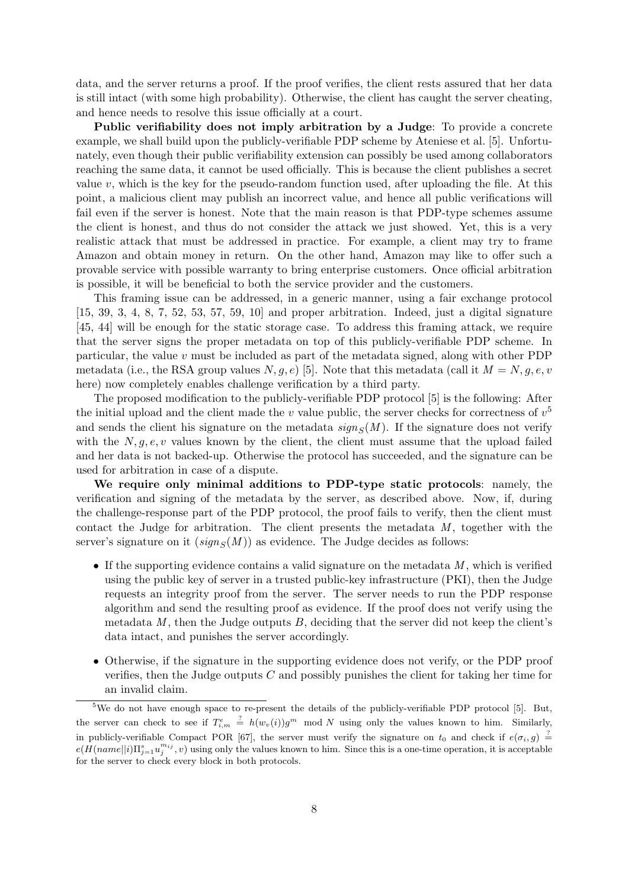data, and the server returns a proof. If the proof verifies, the client rests assured that her data is still intact (with some high probability). Otherwise, the client has caught the server cheating, and hence needs to resolve this issue officially at a court.

**Public verifiability does not imply arbitration by a Judge**: To provide a concrete example, we shall build upon the publicly-verifiable PDP scheme by Ateniese et al. [5]. Unfortunately, even though their public verifiability extension can possibly be used among collaborators reaching the same data, it cannot be used officially. This is because the client publishes a secret value  $v$ , which is the key for the pseudo-random function used, after uploading the file. At this point, a malicious client may publish an incorrect value, and hence all public verifications will fail even if the server is honest. Note that the main reason is that PDP-type schemes assume the client is honest, and thus do not consider the attack we just showed. Yet, this is a very realistic attack that must be addressed in practice. For example, a client may try to frame Amazon and obtain money in return. On the other hand, Amazon may like to offer such a provable service with possible warranty to bring enterprise customers. Once official arbitration is possible, it will be beneficial to both the service provider and the customers.

This framing issue can be addressed, in a generic manner, using a fair exchange protocol [15, 39, 3, 4, 8, 7, 52, 53, 57, 59, 10] and proper arbitration. Indeed, just a digital signature [45, 44] will be enough for the static storage case. To address this framing attack, we require that the server signs the proper metadata on top of this publicly-verifiable PDP scheme. In particular, the value *v* must be included as part of the metadata signed, along with other PDP metadata (i.e., the RSA group values  $N, g, e$ ) [5]. Note that this metadata (call it  $M = N, g, e, v$ here) now completely enables challenge verification by a third party.

The proposed modification to the publicly-verifiable PDP protocol [5] is the following: After the initial upload and the client made the  $v$  value public, the server checks for correctness of  $v^5$ and sends the client his signature on the metadata  $sign_S(M)$ . If the signature does not verify with the  $N, g, e, v$  values known by the client, the client must assume that the upload failed and her data is not backed-up. Otherwise the protocol has succeeded, and the signature can be used for arbitration in case of a dispute.

**We require only minimal additions to PDP-type static protocols**: namely, the verification and signing of the metadata by the server, as described above. Now, if, during the challenge-response part of the PDP protocol, the proof fails to verify, then the client must contact the Judge for arbitration. The client presents the metadata  $M$ , together with the server's signature on it  $(sign_S(M))$  as evidence. The Judge decides as follows:

- If the supporting evidence contains a valid signature on the metadata *M*, which is verified using the public key of server in a trusted public-key infrastructure (PKI), then the Judge requests an integrity proof from the server. The server needs to run the PDP response algorithm and send the resulting proof as evidence. If the proof does not verify using the metadata *M* , then the Judge outputs *B*, deciding that the server did not keep the client's data intact, and punishes the server accordingly.
- Otherwise, if the signature in the supporting evidence does not verify, or the PDP proof verifies, then the Judge outputs *C* and possibly punishes the client for taking her time for an invalid claim.

<sup>5</sup>We do not have enough space to re-present the details of the publicly-verifiable PDP protocol [5]. But, the server can check to see if  $T_{i,m}^e \stackrel{?}{=} h(w_v(i))g^m \mod N$  using only the values known to him. Similarly, in publicly-verifiable Compact POR [67], the server must verify the signature on  $t_0$  and check if  $e(\sigma_i, g) \stackrel{?}{=}$  $e(H(name||i)\Pi_{j=1}^s u_j^{m_{ij}}, v)$  using only the values known to him. Since this is a one-time operation, it is acceptable for the server to check every block in both protocols.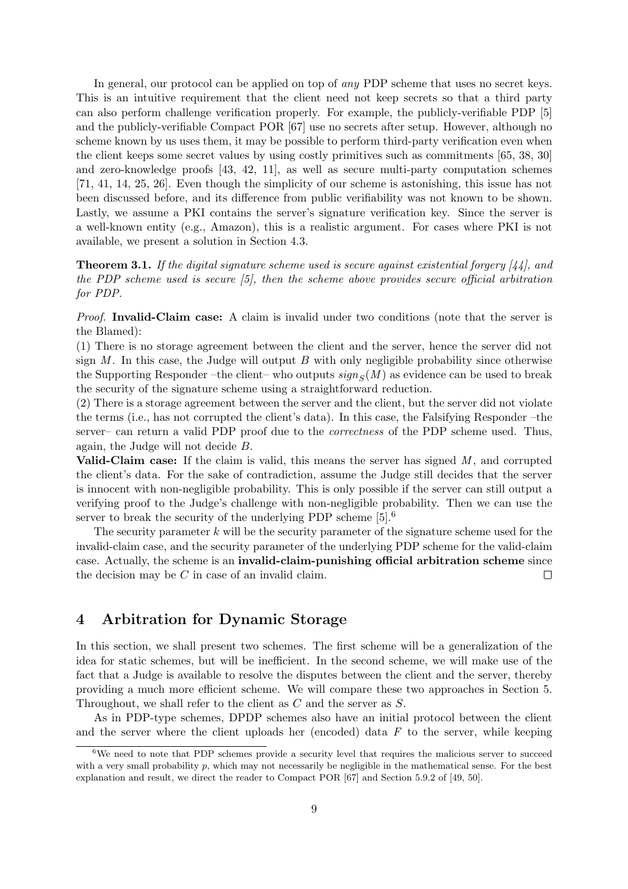In general, our protocol can be applied on top of *any* PDP scheme that uses no secret keys. This is an intuitive requirement that the client need not keep secrets so that a third party can also perform challenge verification properly. For example, the publicly-verifiable PDP [5] and the publicly-verifiable Compact POR [67] use no secrets after setup. However, although no scheme known by us uses them, it may be possible to perform third-party verification even when the client keeps some secret values by using costly primitives such as commitments [65, 38, 30] and zero-knowledge proofs [43, 42, 11], as well as secure multi-party computation schemes [71, 41, 14, 25, 26]. Even though the simplicity of our scheme is astonishing, this issue has not been discussed before, and its difference from public verifiability was not known to be shown. Lastly, we assume a PKI contains the server's signature verification key. Since the server is a well-known entity (e.g., Amazon), this is a realistic argument. For cases where PKI is not available, we present a solution in Section 4.3.

**Theorem 3.1.** *If the digital signature scheme used is secure against existential forgery [44], and the PDP scheme used is secure [5], then the scheme above provides secure official arbitration for PDP.*

*Proof.* **Invalid-Claim case:** A claim is invalid under two conditions (note that the server is the Blamed):

(1) There is no storage agreement between the client and the server, hence the server did not sign *M* . In this case, the Judge will output *B* with only negligible probability since otherwise the Supporting Responder –the client– who outputs  $sign_S(M)$  as evidence can be used to break the security of the signature scheme using a straightforward reduction.

(2) There is a storage agreement between the server and the client, but the server did not violate the terms (i.e., has not corrupted the client's data). In this case, the Falsifying Responder –the server– can return a valid PDP proof due to the *correctness* of the PDP scheme used. Thus, again, the Judge will not decide *B*.

**Valid-Claim case:** If the claim is valid, this means the server has signed *M* , and corrupted the client's data. For the sake of contradiction, assume the Judge still decides that the server is innocent with non-negligible probability. This is only possible if the server can still output a verifying proof to the Judge's challenge with non-negligible probability. Then we can use the server to break the security of the underlying PDP scheme [5].<sup>6</sup>

The security parameter *k* will be the security parameter of the signature scheme used for the invalid-claim case, and the security parameter of the underlying PDP scheme for the valid-claim case. Actually, the scheme is an **invalid-claim-punishing official arbitration scheme** since the decision may be *C* in case of an invalid claim.  $\Box$ 

## **4 Arbitration for Dynamic Storage**

In this section, we shall present two schemes. The first scheme will be a generalization of the idea for static schemes, but will be inefficient. In the second scheme, we will make use of the fact that a Judge is available to resolve the disputes between the client and the server, thereby providing a much more efficient scheme. We will compare these two approaches in Section 5. Throughout, we shall refer to the client as *C* and the server as *S*.

As in PDP-type schemes, DPDP schemes also have an initial protocol between the client and the server where the client uploads her (encoded) data *F* to the server, while keeping

 $6$ We need to note that PDP schemes provide a security level that requires the malicious server to succeed with a very small probability p, which may not necessarily be negligible in the mathematical sense. For the best explanation and result, we direct the reader to Compact POR [67] and Section 5.9.2 of [49, 50].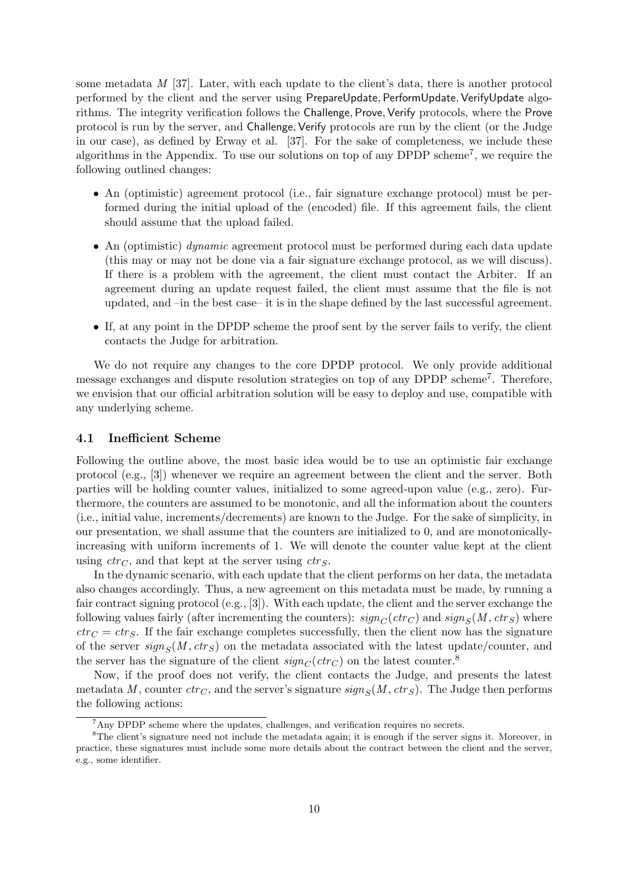some metadata *M* [37]. Later, with each update to the client's data, there is another protocol performed by the client and the server using PrepareUpdate*,* PerformUpdate*,* VerifyUpdate algorithms. The integrity verification follows the Challenge*,* Prove*,* Verify protocols, where the Prove protocol is run by the server, and Challenge*,* Verify protocols are run by the client (or the Judge in our case), as defined by Erway et al. [37]. For the sake of completeness, we include these algorithms in the Appendix. To use our solutions on top of any DPDP scheme<sup>7</sup>, we require the following outlined changes:

- An (optimistic) agreement protocol (i.e., fair signature exchange protocol) must be performed during the initial upload of the (encoded) file. If this agreement fails, the client should assume that the upload failed.
- *•* An (optimistic) *dynamic* agreement protocol must be performed during each data update (this may or may not be done via a fair signature exchange protocol, as we will discuss). If there is a problem with the agreement, the client must contact the Arbiter. If an agreement during an update request failed, the client must assume that the file is not updated, and –in the best case– it is in the shape defined by the last successful agreement.
- If, at any point in the DPDP scheme the proof sent by the server fails to verify, the client contacts the Judge for arbitration.

We do not require any changes to the core DPDP protocol. We only provide additional message exchanges and dispute resolution strategies on top of any DPDP scheme<sup>7</sup>. Therefore, we envision that our official arbitration solution will be easy to deploy and use, compatible with any underlying scheme.

#### **4.1 Inefficient Scheme**

Following the outline above, the most basic idea would be to use an optimistic fair exchange protocol (e.g., [3]) whenever we require an agreement between the client and the server. Both parties will be holding counter values, initialized to some agreed-upon value (e.g., zero). Furthermore, the counters are assumed to be monotonic, and all the information about the counters (i.e., initial value, increments/decrements) are known to the Judge. For the sake of simplicity, in our presentation, we shall assume that the counters are initialized to 0, and are monotonicallyincreasing with uniform increments of 1. We will denote the counter value kept at the client using *ctrC*, and that kept at the server using *ctrS*.

In the dynamic scenario, with each update that the client performs on her data, the metadata also changes accordingly. Thus, a new agreement on this metadata must be made, by running a fair contract signing protocol (e.g., [3]). With each update, the client and the server exchange the following values fairly (after incrementing the counters):  $sign_C (ctr_C)$  and  $sign_S(M,ctr_S)$  where  $ctr<sub>C</sub> = ctr<sub>S</sub>$ . If the fair exchange completes successfully, then the client now has the signature of the server  $sign_S(M, ctr_S)$  on the metadata associated with the latest update/counter, and the server has the signature of the client  $sign_C(ctr_C)$  on the latest counter.<sup>8</sup>

Now, if the proof does not verify, the client contacts the Judge, and presents the latest metadata *M*, counter  $ctr_C$ , and the server's signature  $sign_S(M, str_S)$ . The Judge then performs the following actions:

<sup>&</sup>lt;sup>7</sup>Any DPDP scheme where the updates, challenges, and verification requires no secrets.

<sup>8</sup>The client's signature need not include the metadata again; it is enough if the server signs it. Moreover, in practice, these signatures must include some more details about the contract between the client and the server, e.g., some identifier.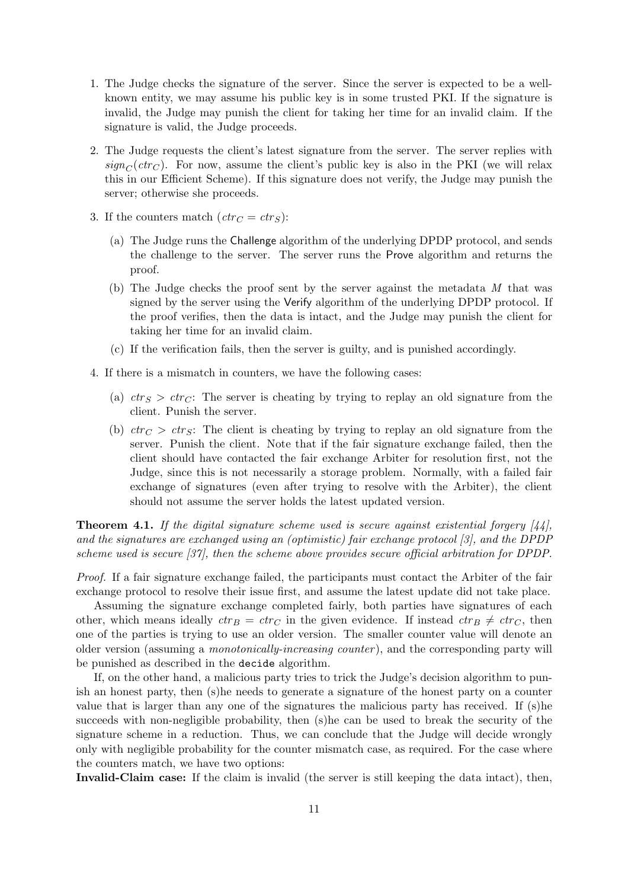- 1. The Judge checks the signature of the server. Since the server is expected to be a wellknown entity, we may assume his public key is in some trusted PKI. If the signature is invalid, the Judge may punish the client for taking her time for an invalid claim. If the signature is valid, the Judge proceeds.
- 2. The Judge requests the client's latest signature from the server. The server replies with  $sign_C(ctr_C)$ . For now, assume the client's public key is also in the PKI (we will relax this in our Efficient Scheme). If this signature does not verify, the Judge may punish the server; otherwise she proceeds.
- 3. If the counters match  $(ctr_C = ctr_S)$ :
	- (a) The Judge runs the Challenge algorithm of the underlying DPDP protocol, and sends the challenge to the server. The server runs the Prove algorithm and returns the proof.
	- (b) The Judge checks the proof sent by the server against the metadata *M* that was signed by the server using the Verify algorithm of the underlying DPDP protocol. If the proof verifies, then the data is intact, and the Judge may punish the client for taking her time for an invalid claim.
	- (c) If the verification fails, then the server is guilty, and is punished accordingly.
- 4. If there is a mismatch in counters, we have the following cases:
	- (a)  $ctr<sub>S</sub> > ctr<sub>C</sub>$ : The server is cheating by trying to replay an old signature from the client. Punish the server.
	- (b)  $ctr_C > ctr_S$ : The client is cheating by trying to replay an old signature from the server. Punish the client. Note that if the fair signature exchange failed, then the client should have contacted the fair exchange Arbiter for resolution first, not the Judge, since this is not necessarily a storage problem. Normally, with a failed fair exchange of signatures (even after trying to resolve with the Arbiter), the client should not assume the server holds the latest updated version.

**Theorem 4.1.** *If the digital signature scheme used is secure against existential forgery [44], and the signatures are exchanged using an (optimistic) fair exchange protocol [3], and the DPDP scheme used is secure [37], then the scheme above provides secure official arbitration for DPDP.*

*Proof.* If a fair signature exchange failed, the participants must contact the Arbiter of the fair exchange protocol to resolve their issue first, and assume the latest update did not take place.

Assuming the signature exchange completed fairly, both parties have signatures of each other, which means ideally  $ctr_B = str_C$  in the given evidence. If instead  $ctr_B \neq str_C$ , then one of the parties is trying to use an older version. The smaller counter value will denote an older version (assuming a *monotonically-increasing counter* ), and the corresponding party will be punished as described in the decide algorithm.

If, on the other hand, a malicious party tries to trick the Judge's decision algorithm to punish an honest party, then (s)he needs to generate a signature of the honest party on a counter value that is larger than any one of the signatures the malicious party has received. If (s)he succeeds with non-negligible probability, then (s)he can be used to break the security of the signature scheme in a reduction. Thus, we can conclude that the Judge will decide wrongly only with negligible probability for the counter mismatch case, as required. For the case where the counters match, we have two options:

**Invalid-Claim case:** If the claim is invalid (the server is still keeping the data intact), then,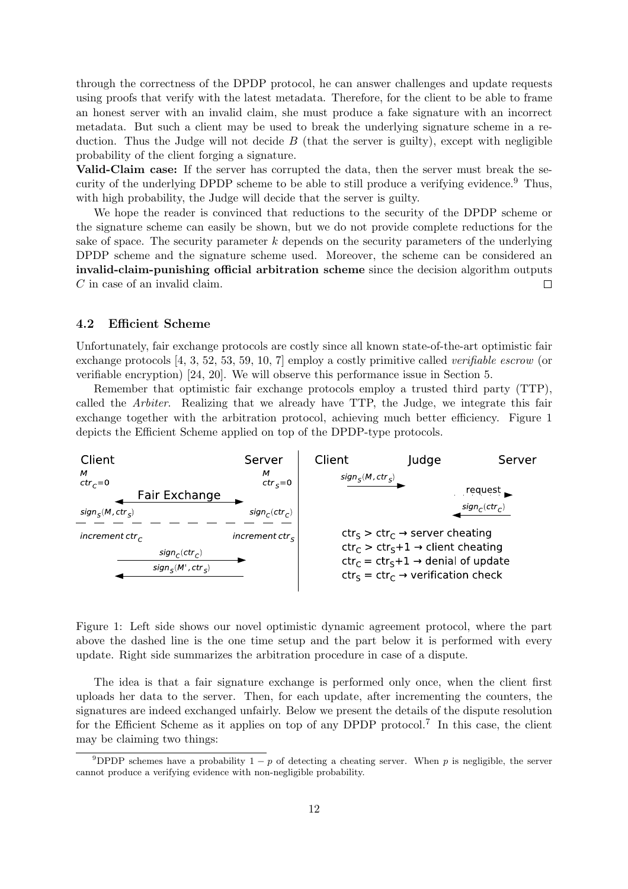through the correctness of the DPDP protocol, he can answer challenges and update requests using proofs that verify with the latest metadata. Therefore, for the client to be able to frame an honest server with an invalid claim, she must produce a fake signature with an incorrect metadata. But such a client may be used to break the underlying signature scheme in a reduction. Thus the Judge will not decide *B* (that the server is guilty), except with negligible probability of the client forging a signature.

**Valid-Claim case:** If the server has corrupted the data, then the server must break the security of the underlying DPDP scheme to be able to still produce a verifying evidence.<sup>9</sup> Thus, with high probability, the Judge will decide that the server is guilty.

We hope the reader is convinced that reductions to the security of the DPDP scheme or the signature scheme can easily be shown, but we do not provide complete reductions for the sake of space. The security parameter *k* depends on the security parameters of the underlying DPDP scheme and the signature scheme used. Moreover, the scheme can be considered an **invalid-claim-punishing official arbitration scheme** since the decision algorithm outputs *C* in case of an invalid claim.  $\Box$ 

### **4.2 Efficient Scheme**

Unfortunately, fair exchange protocols are costly since all known state-of-the-art optimistic fair exchange protocols [4, 3, 52, 53, 59, 10, 7] employ a costly primitive called *verifiable escrow* (or verifiable encryption) [24, 20]. We will observe this performance issue in Section 5.

Remember that optimistic fair exchange protocols employ a trusted third party (TTP), called the *Arbiter*. Realizing that we already have TTP, the Judge, we integrate this fair exchange together with the arbitration protocol, achieving much better efficiency. Figure 1 depicts the Efficient Scheme applied on top of the DPDP-type protocols.



Figure 1: Left side shows our novel optimistic dynamic agreement protocol, where the part above the dashed line is the one time setup and the part below it is performed with every update. Right side summarizes the arbitration procedure in case of a dispute.

The idea is that a fair signature exchange is performed only once, when the client first uploads her data to the server. Then, for each update, after incrementing the counters, the signatures are indeed exchanged unfairly. Below we present the details of the dispute resolution for the Efficient Scheme as it applies on top of any DPDP protocol.<sup>7</sup> In this case, the client may be claiming two things:

<sup>&</sup>lt;sup>9</sup>DPDP schemes have a probability  $1 - p$  of detecting a cheating server. When *p* is negligible, the server cannot produce a verifying evidence with non-negligible probability.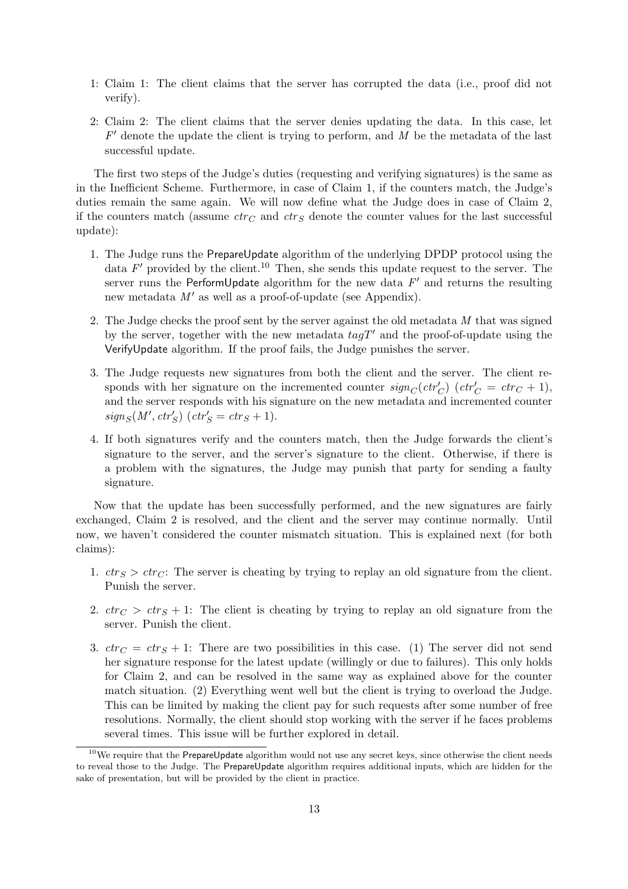- 1: Claim 1: The client claims that the server has corrupted the data (i.e., proof did not verify).
- 2: Claim 2: The client claims that the server denies updating the data. In this case, let *F ′* denote the update the client is trying to perform, and *M* be the metadata of the last successful update.

The first two steps of the Judge's duties (requesting and verifying signatures) is the same as in the Inefficient Scheme. Furthermore, in case of Claim 1, if the counters match, the Judge's duties remain the same again. We will now define what the Judge does in case of Claim 2, if the counters match (assume  $ctr<sub>C</sub>$  and  $ctr<sub>S</sub>$  denote the counter values for the last successful update):

- 1. The Judge runs the PrepareUpdate algorithm of the underlying DPDP protocol using the data  $F'$  provided by the client.<sup>10</sup> Then, she sends this update request to the server. The server runs the PerformUpdate algorithm for the new data *F ′* and returns the resulting new metadata  $M'$  as well as a proof-of-update (see Appendix).
- 2. The Judge checks the proof sent by the server against the old metadata *M* that was signed by the server, together with the new metadata *tagT′* and the proof-of-update using the VerifyUpdate algorithm. If the proof fails, the Judge punishes the server.
- 3. The Judge requests new signatures from both the client and the server. The client responds with her signature on the incremented counter  $sign_C (ctr'_C)$   $(ctr'_C = ctr_C + 1)$ , and the server responds with his signature on the new metadata and incremented counter  $sign_S(M', ctr'_S)$  (*ctr'<sub>S</sub>* = *ctr<sub>S</sub>* + 1).
- 4. If both signatures verify and the counters match, then the Judge forwards the client's signature to the server, and the server's signature to the client. Otherwise, if there is a problem with the signatures, the Judge may punish that party for sending a faulty signature.

Now that the update has been successfully performed, and the new signatures are fairly exchanged, Claim 2 is resolved, and the client and the server may continue normally. Until now, we haven't considered the counter mismatch situation. This is explained next (for both claims):

- 1.  $\text{ctr}_S > \text{ctr}_C$ : The server is cheating by trying to replay an old signature from the client. Punish the server.
- 2.  $\text{ctr}_C > \text{ctr}_S + 1$ : The client is cheating by trying to replay an old signature from the server. Punish the client.
- 3.  $ctr<sub>C</sub> = ctr<sub>S</sub> + 1$ : There are two possibilities in this case. (1) The server did not send her signature response for the latest update (willingly or due to failures). This only holds for Claim 2, and can be resolved in the same way as explained above for the counter match situation. (2) Everything went well but the client is trying to overload the Judge. This can be limited by making the client pay for such requests after some number of free resolutions. Normally, the client should stop working with the server if he faces problems several times. This issue will be further explored in detail.

 $10$ We require that the PrepareUpdate algorithm would not use any secret keys, since otherwise the client needs to reveal those to the Judge. The PrepareUpdate algorithm requires additional inputs, which are hidden for the sake of presentation, but will be provided by the client in practice.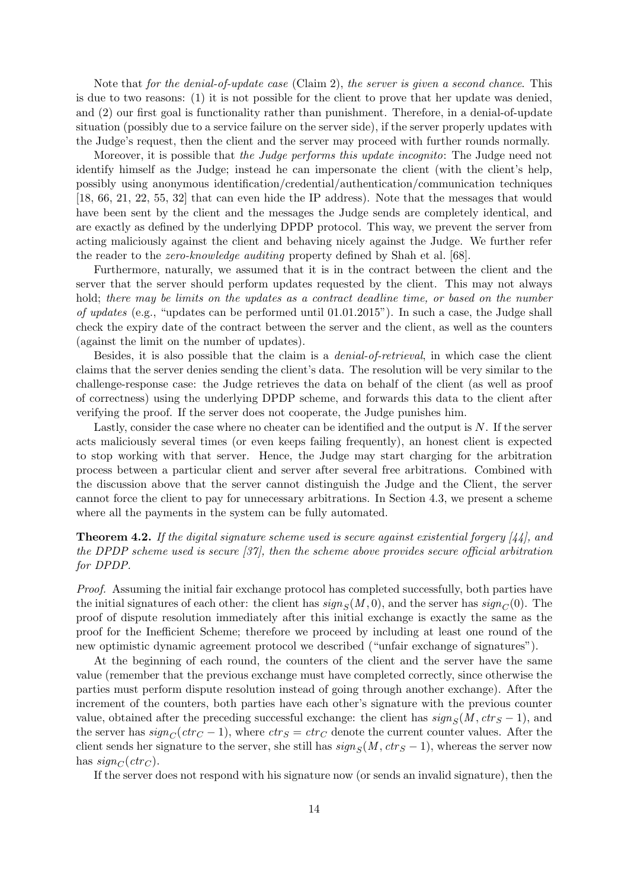Note that *for the denial-of-update case* (Claim 2), *the server is given a second chance*. This is due to two reasons: (1) it is not possible for the client to prove that her update was denied, and (2) our first goal is functionality rather than punishment. Therefore, in a denial-of-update situation (possibly due to a service failure on the server side), if the server properly updates with the Judge's request, then the client and the server may proceed with further rounds normally.

Moreover, it is possible that *the Judge performs this update incognito*: The Judge need not identify himself as the Judge; instead he can impersonate the client (with the client's help, possibly using anonymous identification/credential/authentication/communication techniques [18, 66, 21, 22, 55, 32] that can even hide the IP address). Note that the messages that would have been sent by the client and the messages the Judge sends are completely identical, and are exactly as defined by the underlying DPDP protocol. This way, we prevent the server from acting maliciously against the client and behaving nicely against the Judge. We further refer the reader to the *zero-knowledge auditing* property defined by Shah et al. [68].

Furthermore, naturally, we assumed that it is in the contract between the client and the server that the server should perform updates requested by the client. This may not always hold; *there may be limits on the updates as a contract deadline time, or based on the number of updates* (e.g., "updates can be performed until 01.01.2015"). In such a case, the Judge shall check the expiry date of the contract between the server and the client, as well as the counters (against the limit on the number of updates).

Besides, it is also possible that the claim is a *denial-of-retrieval*, in which case the client claims that the server denies sending the client's data. The resolution will be very similar to the challenge-response case: the Judge retrieves the data on behalf of the client (as well as proof of correctness) using the underlying DPDP scheme, and forwards this data to the client after verifying the proof. If the server does not cooperate, the Judge punishes him.

Lastly, consider the case where no cheater can be identified and the output is *N*. If the server acts maliciously several times (or even keeps failing frequently), an honest client is expected to stop working with that server. Hence, the Judge may start charging for the arbitration process between a particular client and server after several free arbitrations. Combined with the discussion above that the server cannot distinguish the Judge and the Client, the server cannot force the client to pay for unnecessary arbitrations. In Section 4.3, we present a scheme where all the payments in the system can be fully automated.

**Theorem 4.2.** *If the digital signature scheme used is secure against existential forgery [44], and the DPDP scheme used is secure [37], then the scheme above provides secure official arbitration for DPDP.*

*Proof.* Assuming the initial fair exchange protocol has completed successfully, both parties have the initial signatures of each other: the client has  $sign_S(M, 0)$ , and the server has  $sign_C(0)$ . The proof of dispute resolution immediately after this initial exchange is exactly the same as the proof for the Inefficient Scheme; therefore we proceed by including at least one round of the new optimistic dynamic agreement protocol we described ("unfair exchange of signatures").

At the beginning of each round, the counters of the client and the server have the same value (remember that the previous exchange must have completed correctly, since otherwise the parties must perform dispute resolution instead of going through another exchange). After the increment of the counters, both parties have each other's signature with the previous counter value, obtained after the preceding successful exchange: the client has  $sign_S(M, ctr_S - 1)$ , and the server has  $sign_C(ctr_C-1)$ , where  $ctr_S = str_C$  denote the current counter values. After the client sends her signature to the server, she still has  $sign_S(M, ctr_S - 1)$ , whereas the server now has  $sign_C(ctr_C)$ .

If the server does not respond with his signature now (or sends an invalid signature), then the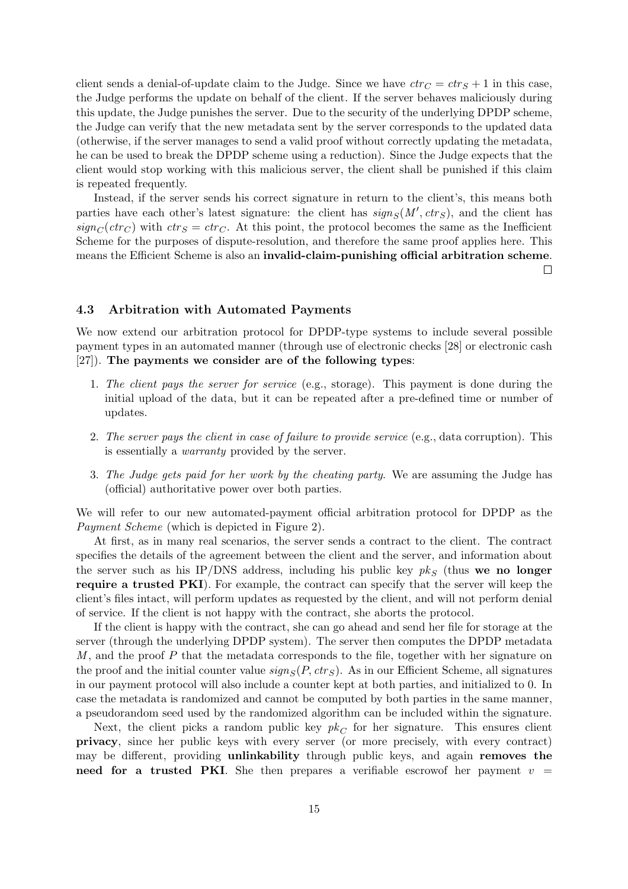client sends a denial-of-update claim to the Judge. Since we have  $ctr<sub>C</sub> = ctr<sub>S</sub> + 1$  in this case, the Judge performs the update on behalf of the client. If the server behaves maliciously during this update, the Judge punishes the server. Due to the security of the underlying DPDP scheme, the Judge can verify that the new metadata sent by the server corresponds to the updated data (otherwise, if the server manages to send a valid proof without correctly updating the metadata, he can be used to break the DPDP scheme using a reduction). Since the Judge expects that the client would stop working with this malicious server, the client shall be punished if this claim is repeated frequently.

Instead, if the server sends his correct signature in return to the client's, this means both parties have each other's latest signature: the client has  $sign_S(M', ctr_S)$ , and the client has  $sign_C(ctr_C)$  with  $ctr_S = circ$ . At this point, the protocol becomes the same as the Inefficient Scheme for the purposes of dispute-resolution, and therefore the same proof applies here. This means the Efficient Scheme is also an **invalid-claim-punishing official arbitration scheme**.  $\Box$ 

### **4.3 Arbitration with Automated Payments**

We now extend our arbitration protocol for DPDP-type systems to include several possible payment types in an automated manner (through use of electronic checks [28] or electronic cash [27]). **The payments we consider are of the following types**:

- 1. *The client pays the server for service* (e.g., storage). This payment is done during the initial upload of the data, but it can be repeated after a pre-defined time or number of updates.
- 2. *The server pays the client in case of failure to provide service* (e.g., data corruption). This is essentially a *warranty* provided by the server.
- 3. *The Judge gets paid for her work by the cheating party*. We are assuming the Judge has (official) authoritative power over both parties.

We will refer to our new automated-payment official arbitration protocol for DPDP as the *Payment Scheme* (which is depicted in Figure 2).

At first, as in many real scenarios, the server sends a contract to the client. The contract specifies the details of the agreement between the client and the server, and information about the server such as his IP/DNS address, including his public key  $pk<sub>S</sub>$  (thus we no longer **require a trusted PKI**). For example, the contract can specify that the server will keep the client's files intact, will perform updates as requested by the client, and will not perform denial of service. If the client is not happy with the contract, she aborts the protocol.

If the client is happy with the contract, she can go ahead and send her file for storage at the server (through the underlying DPDP system). The server then computes the DPDP metadata *M* , and the proof *P* that the metadata corresponds to the file, together with her signature on the proof and the initial counter value  $sign_S(P, ctr_S)$ . As in our Efficient Scheme, all signatures in our payment protocol will also include a counter kept at both parties, and initialized to 0. In case the metadata is randomized and cannot be computed by both parties in the same manner, a pseudorandom seed used by the randomized algorithm can be included within the signature.

Next, the client picks a random public key  $pk<sub>C</sub>$  for her signature. This ensures client **privacy**, since her public keys with every server (or more precisely, with every contract) may be different, providing **unlinkability** through public keys, and again **removes the need for a trusted PKI**. She then prepares a verifiable escrowof her payment  $v =$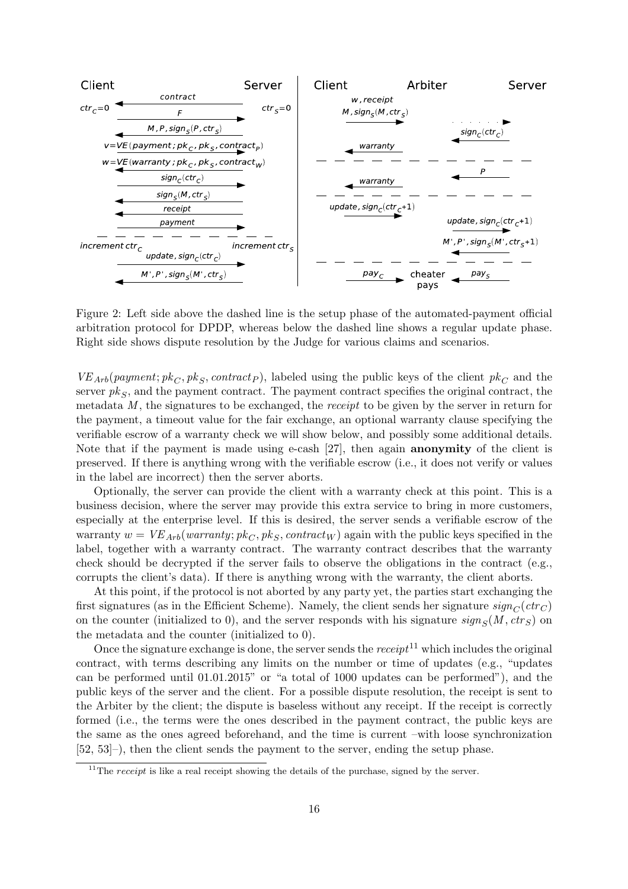

Figure 2: Left side above the dashed line is the setup phase of the automated-payment official arbitration protocol for DPDP, whereas below the dashed line shows a regular update phase. Right side shows dispute resolution by the Judge for various claims and scenarios.

 $VE_{Arb}(payment; pk_C, pk_S, contract_P)$ , labeled using the public keys of the client  $pk_C$  and the server  $pk_S$ , and the payment contract. The payment contract specifies the original contract, the metadata *M* , the signatures to be exchanged, the *receipt* to be given by the server in return for the payment, a timeout value for the fair exchange, an optional warranty clause specifying the verifiable escrow of a warranty check we will show below, and possibly some additional details. Note that if the payment is made using e-cash [27], then again **anonymity** of the client is preserved. If there is anything wrong with the verifiable escrow (i.e., it does not verify or values in the label are incorrect) then the server aborts.

Optionally, the server can provide the client with a warranty check at this point. This is a business decision, where the server may provide this extra service to bring in more customers, especially at the enterprise level. If this is desired, the server sends a verifiable escrow of the warranty  $w = VE_{Arb}(warmty; pk_C, pk_S, contract_W)$  again with the public keys specified in the label, together with a warranty contract. The warranty contract describes that the warranty check should be decrypted if the server fails to observe the obligations in the contract (e.g., corrupts the client's data). If there is anything wrong with the warranty, the client aborts.

At this point, if the protocol is not aborted by any party yet, the parties start exchanging the first signatures (as in the Efficient Scheme). Namely, the client sends her signature  $sign_C(ctr_C)$ on the counter (initialized to 0), and the server responds with his signature  $sign_S(M, ctr_S)$  on the metadata and the counter (initialized to 0).

Once the signature exchange is done, the server sends the  $receipt<sup>11</sup>$  which includes the original contract, with terms describing any limits on the number or time of updates (e.g., "updates can be performed until 01.01.2015" or "a total of 1000 updates can be performed"), and the public keys of the server and the client. For a possible dispute resolution, the receipt is sent to the Arbiter by the client; the dispute is baseless without any receipt. If the receipt is correctly formed (i.e., the terms were the ones described in the payment contract, the public keys are the same as the ones agreed beforehand, and the time is current –with loose synchronization [52, 53]–), then the client sends the payment to the server, ending the setup phase.

<sup>&</sup>lt;sup>11</sup>The *receipt* is like a real receipt showing the details of the purchase, signed by the server.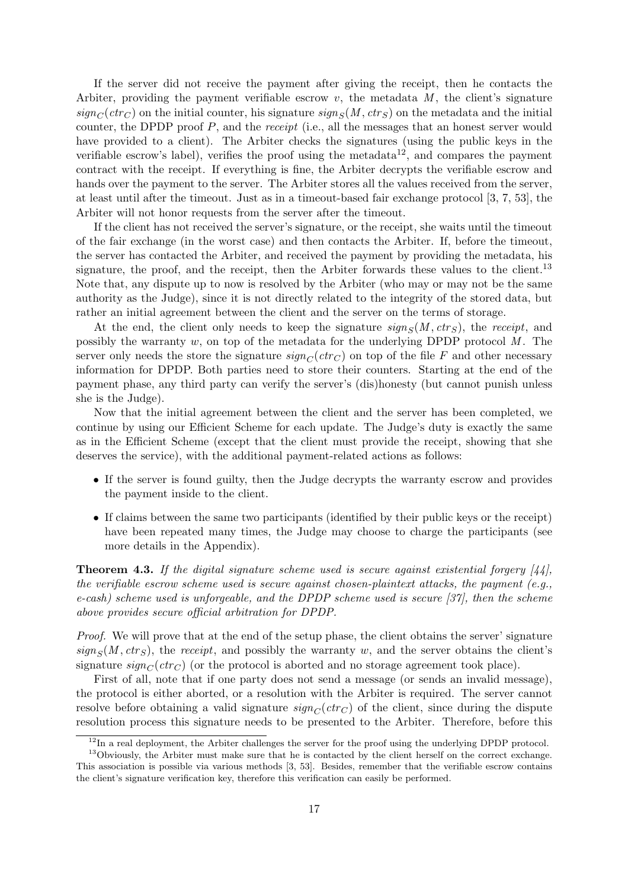If the server did not receive the payment after giving the receipt, then he contacts the Arbiter, providing the payment verifiable escrow  $v$ , the metadata  $M$ , the client's signature  $sign_C(ctr_C)$  on the initial counter, his signature  $sign_S(M, ctr_S)$  on the metadata and the initial counter, the DPDP proof *P*, and the *receipt* (i.e., all the messages that an honest server would have provided to a client). The Arbiter checks the signatures (using the public keys in the verifiable escrow's label), verifies the proof using the metadata<sup>12</sup>, and compares the payment contract with the receipt. If everything is fine, the Arbiter decrypts the verifiable escrow and hands over the payment to the server. The Arbiter stores all the values received from the server, at least until after the timeout. Just as in a timeout-based fair exchange protocol [3, 7, 53], the Arbiter will not honor requests from the server after the timeout.

If the client has not received the server's signature, or the receipt, she waits until the timeout of the fair exchange (in the worst case) and then contacts the Arbiter. If, before the timeout, the server has contacted the Arbiter, and received the payment by providing the metadata, his signature, the proof, and the receipt, then the Arbiter forwards these values to the client.<sup>13</sup> Note that, any dispute up to now is resolved by the Arbiter (who may or may not be the same authority as the Judge), since it is not directly related to the integrity of the stored data, but rather an initial agreement between the client and the server on the terms of storage.

At the end, the client only needs to keep the signature *sign<sup>S</sup>* (*M , ctrS*), the *receipt*, and possibly the warranty *w*, on top of the metadata for the underlying DPDP protocol *M* . The server only needs the store the signature  $sign_C(ctr_C)$  on top of the file F and other necessary information for DPDP. Both parties need to store their counters. Starting at the end of the payment phase, any third party can verify the server's (dis)honesty (but cannot punish unless she is the Judge).

Now that the initial agreement between the client and the server has been completed, we continue by using our Efficient Scheme for each update. The Judge's duty is exactly the same as in the Efficient Scheme (except that the client must provide the receipt, showing that she deserves the service), with the additional payment-related actions as follows:

- If the server is found guilty, then the Judge decrypts the warranty escrow and provides the payment inside to the client.
- If claims between the same two participants (identified by their public keys or the receipt) have been repeated many times, the Judge may choose to charge the participants (see more details in the Appendix).

**Theorem 4.3.** *If the digital signature scheme used is secure against existential forgery [44], the verifiable escrow scheme used is secure against chosen-plaintext attacks, the payment (e.g., e-cash) scheme used is unforgeable, and the DPDP scheme used is secure [37], then the scheme above provides secure official arbitration for DPDP.*

*Proof.* We will prove that at the end of the setup phase, the client obtains the server' signature  $sign_S(M, ctr_S)$ , the *receipt*, and possibly the warranty *w*, and the server obtains the client's signature  $sign_C(ctr_C)$  (or the protocol is aborted and no storage agreement took place).

First of all, note that if one party does not send a message (or sends an invalid message), the protocol is either aborted, or a resolution with the Arbiter is required. The server cannot resolve before obtaining a valid signature  $sign_C(ctr_C)$  of the client, since during the dispute resolution process this signature needs to be presented to the Arbiter. Therefore, before this

 $12$ In a real deployment, the Arbiter challenges the server for the proof using the underlying DPDP protocol.

<sup>&</sup>lt;sup>13</sup>Obviously, the Arbiter must make sure that he is contacted by the client herself on the correct exchange. This association is possible via various methods [3, 53]. Besides, remember that the verifiable escrow contains the client's signature verification key, therefore this verification can easily be performed.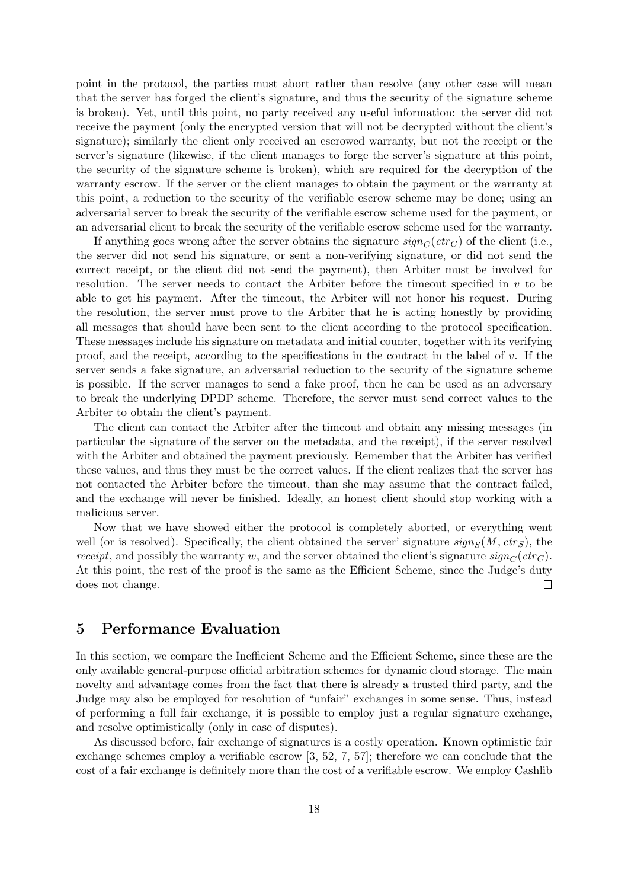point in the protocol, the parties must abort rather than resolve (any other case will mean that the server has forged the client's signature, and thus the security of the signature scheme is broken). Yet, until this point, no party received any useful information: the server did not receive the payment (only the encrypted version that will not be decrypted without the client's signature); similarly the client only received an escrowed warranty, but not the receipt or the server's signature (likewise, if the client manages to forge the server's signature at this point, the security of the signature scheme is broken), which are required for the decryption of the warranty escrow. If the server or the client manages to obtain the payment or the warranty at this point, a reduction to the security of the verifiable escrow scheme may be done; using an adversarial server to break the security of the verifiable escrow scheme used for the payment, or an adversarial client to break the security of the verifiable escrow scheme used for the warranty.

If anything goes wrong after the server obtains the signature  $sign_C(ctr_C)$  of the client (i.e., the server did not send his signature, or sent a non-verifying signature, or did not send the correct receipt, or the client did not send the payment), then Arbiter must be involved for resolution. The server needs to contact the Arbiter before the timeout specified in *v* to be able to get his payment. After the timeout, the Arbiter will not honor his request. During the resolution, the server must prove to the Arbiter that he is acting honestly by providing all messages that should have been sent to the client according to the protocol specification. These messages include his signature on metadata and initial counter, together with its verifying proof, and the receipt, according to the specifications in the contract in the label of *v*. If the server sends a fake signature, an adversarial reduction to the security of the signature scheme is possible. If the server manages to send a fake proof, then he can be used as an adversary to break the underlying DPDP scheme. Therefore, the server must send correct values to the Arbiter to obtain the client's payment.

The client can contact the Arbiter after the timeout and obtain any missing messages (in particular the signature of the server on the metadata, and the receipt), if the server resolved with the Arbiter and obtained the payment previously. Remember that the Arbiter has verified these values, and thus they must be the correct values. If the client realizes that the server has not contacted the Arbiter before the timeout, than she may assume that the contract failed, and the exchange will never be finished. Ideally, an honest client should stop working with a malicious server.

Now that we have showed either the protocol is completely aborted, or everything went well (or is resolved). Specifically, the client obtained the server' signature  $sign_S(M, ctr_S)$ , the *receipt*, and possibly the warranty *w*, and the server obtained the client's signature  $sign_C(ctr_C)$ . At this point, the rest of the proof is the same as the Efficient Scheme, since the Judge's duty does not change.  $\Box$ 

## **5 Performance Evaluation**

In this section, we compare the Inefficient Scheme and the Efficient Scheme, since these are the only available general-purpose official arbitration schemes for dynamic cloud storage. The main novelty and advantage comes from the fact that there is already a trusted third party, and the Judge may also be employed for resolution of "unfair" exchanges in some sense. Thus, instead of performing a full fair exchange, it is possible to employ just a regular signature exchange, and resolve optimistically (only in case of disputes).

As discussed before, fair exchange of signatures is a costly operation. Known optimistic fair exchange schemes employ a verifiable escrow [3, 52, 7, 57]; therefore we can conclude that the cost of a fair exchange is definitely more than the cost of a verifiable escrow. We employ Cashlib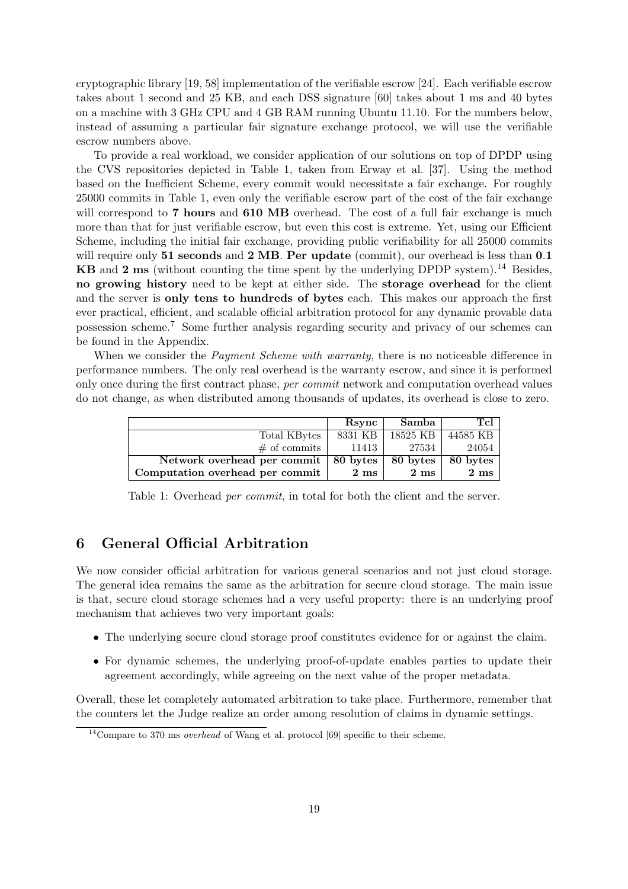cryptographic library [19, 58] implementation of the verifiable escrow [24]. Each verifiable escrow takes about 1 second and 25 KB, and each DSS signature [60] takes about 1 ms and 40 bytes on a machine with 3 GHz CPU and 4 GB RAM running Ubuntu 11.10. For the numbers below, instead of assuming a particular fair signature exchange protocol, we will use the verifiable escrow numbers above.

To provide a real workload, we consider application of our solutions on top of DPDP using the CVS repositories depicted in Table 1, taken from Erway et al. [37]. Using the method based on the Inefficient Scheme, every commit would necessitate a fair exchange. For roughly 25000 commits in Table 1, even only the verifiable escrow part of the cost of the fair exchange will correspond to **7 hours** and **610 MB** overhead. The cost of a full fair exchange is much more than that for just verifiable escrow, but even this cost is extreme. Yet, using our Efficient Scheme, including the initial fair exchange, providing public verifiability for all 25000 commits will require only **51 seconds** and **2 MB**. **Per update** (commit), our overhead is less than **0***.***1** KB and 2 ms (without counting the time spent by the underlying DPDP system).<sup>14</sup> Besides, **no growing history** need to be kept at either side. The **storage overhead** for the client and the server is **only tens to hundreds of bytes** each. This makes our approach the first ever practical, efficient, and scalable official arbitration protocol for any dynamic provable data possession scheme.<sup>7</sup> Some further analysis regarding security and privacy of our schemes can be found in the Appendix.

When we consider the *Payment Scheme with warranty*, there is no noticeable difference in performance numbers. The only real overhead is the warranty escrow, and since it is performed only once during the first contract phase, *per commit* network and computation overhead values do not change, as when distributed among thousands of updates, its overhead is close to zero.

|                                 | <b>R</b> sync  | Samba          | $_{\rm Tcl}$   |
|---------------------------------|----------------|----------------|----------------|
| Total KBytes                    | 8331 KB        | 18525 KB       | 44585 KB       |
| $\#$ of commits                 | 11413          | 27534          | 24054          |
| Network overhead per commit     | 80 bytes       | 80 bytes       | 80 bytes       |
| Computation overhead per commit | $2 \text{ ms}$ | $2 \text{ ms}$ | $2 \text{ ms}$ |

Table 1: Overhead *per commit*, in total for both the client and the server.

## **6 General Official Arbitration**

We now consider official arbitration for various general scenarios and not just cloud storage. The general idea remains the same as the arbitration for secure cloud storage. The main issue is that, secure cloud storage schemes had a very useful property: there is an underlying proof mechanism that achieves two very important goals:

- *•* The underlying secure cloud storage proof constitutes evidence for or against the claim.
- For dynamic schemes, the underlying proof-of-update enables parties to update their agreement accordingly, while agreeing on the next value of the proper metadata.

Overall, these let completely automated arbitration to take place. Furthermore, remember that the counters let the Judge realize an order among resolution of claims in dynamic settings.

<sup>&</sup>lt;sup>14</sup>Compare to 370 ms *overhead* of Wang et al. protocol [69] specific to their scheme.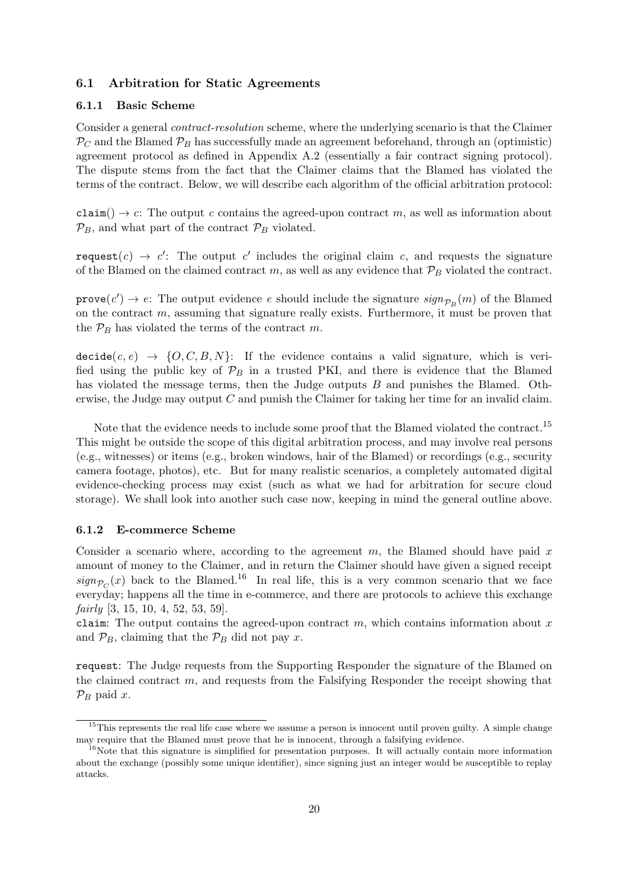### **6.1 Arbitration for Static Agreements**

#### **6.1.1 Basic Scheme**

Consider a general *contract-resolution* scheme, where the underlying scenario is that the Claimer  $P_C$  and the Blamed  $P_B$  has successfully made an agreement beforehand, through an (optimistic) agreement protocol as defined in Appendix A.2 (essentially a fair contract signing protocol). The dispute stems from the fact that the Claimer claims that the Blamed has violated the terms of the contract. Below, we will describe each algorithm of the official arbitration protocol:

claim()  $\rightarrow$  *c*: The output *c* contains the agreed-upon contract *m*, as well as information about  $P_B$ , and what part of the contract  $P_B$  violated.

 $\mathsf{request}(c) \rightarrow c'$ : The output  $c'$  includes the original claim  $c$ , and requests the signature of the Blamed on the claimed contract  $m$ , as well as any evidence that  $P_B$  violated the contract.

 $\text{prove}(c') \to e$ : The output evidence *e* should include the signature  $sign_{\mathcal{P}_B}(m)$  of the Blamed on the contract *m*, assuming that signature really exists. Furthermore, it must be proven that the  $P_B$  has violated the terms of the contract *m*.

 $\text{decide}(c, e) \rightarrow \{O, C, B, N\}$ : If the evidence contains a valid signature, which is verified using the public key of  $P_B$  in a trusted PKI, and there is evidence that the Blamed has violated the message terms, then the Judge outputs *B* and punishes the Blamed. Otherwise, the Judge may output *C* and punish the Claimer for taking her time for an invalid claim.

Note that the evidence needs to include some proof that the Blamed violated the contract.<sup>15</sup> This might be outside the scope of this digital arbitration process, and may involve real persons (e.g., witnesses) or items (e.g., broken windows, hair of the Blamed) or recordings (e.g., security camera footage, photos), etc. But for many realistic scenarios, a completely automated digital evidence-checking process may exist (such as what we had for arbitration for secure cloud storage). We shall look into another such case now, keeping in mind the general outline above.

#### **6.1.2 E-commerce Scheme**

Consider a scenario where, according to the agreement *m*, the Blamed should have paid *x* amount of money to the Claimer, and in return the Claimer should have given a signed receipt  $sign_{\mathcal{P}_C}(x)$  back to the Blamed.<sup>16</sup> In real life, this is a very common scenario that we face everyday; happens all the time in e-commerce, and there are protocols to achieve this exchange *fairly* [3, 15, 10, 4, 52, 53, 59].

claim: The output contains the agreed-upon contract *m*, which contains information about *x* and  $\mathcal{P}_B$ , claiming that the  $\mathcal{P}_B$  did not pay *x*.

request: The Judge requests from the Supporting Responder the signature of the Blamed on the claimed contract *m*, and requests from the Falsifying Responder the receipt showing that  $\mathcal{P}_B$  paid *x*.

<sup>&</sup>lt;sup>15</sup>This represents the real life case where we assume a person is innocent until proven guilty. A simple change may require that the Blamed must prove that he is innocent, through a falsifying evidence.

<sup>&</sup>lt;sup>16</sup>Note that this signature is simplified for presentation purposes. It will actually contain more information about the exchange (possibly some unique identifier), since signing just an integer would be susceptible to replay attacks.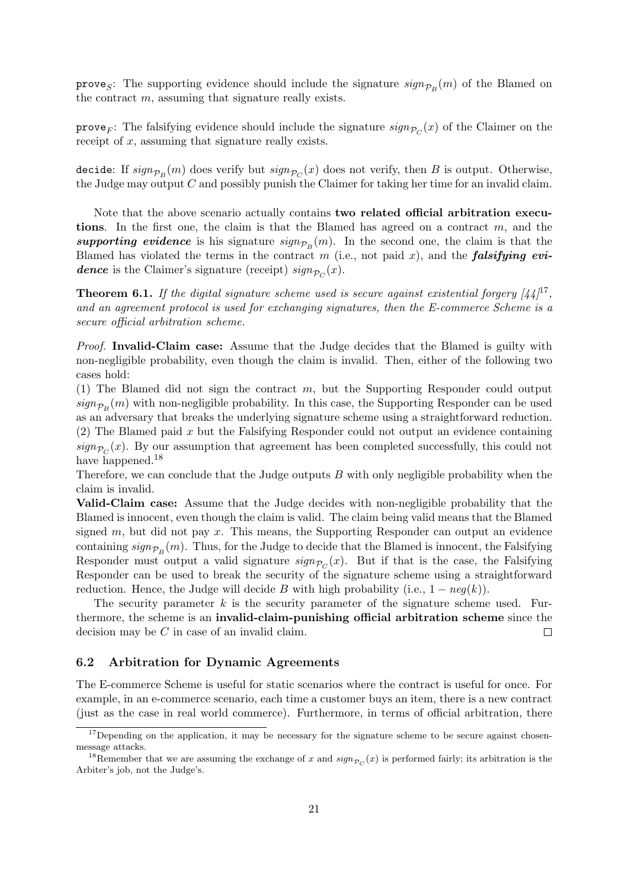prove<sub>S</sub>: The supporting evidence should include the signature  $sign_{\mathcal{P}_B}(m)$  of the Blamed on the contract *m*, assuming that signature really exists.

prove<sub>F</sub>: The falsifying evidence should include the signature  $sign_{\mathcal{P}_C}(x)$  of the Claimer on the receipt of *x*, assuming that signature really exists.

decide: If  $sign_{\mathcal{P}_B}(m)$  does verify but  $sign_{\mathcal{P}_C}(x)$  does not verify, then *B* is output. Otherwise, the Judge may output *C* and possibly punish the Claimer for taking her time for an invalid claim.

Note that the above scenario actually contains **two related official arbitration executions**. In the first one, the claim is that the Blamed has agreed on a contract *m*, and the *supporting evidence* is his signature  $sign_{\mathcal{P}_B}(m)$ . In the second one, the claim is that the Blamed has violated the terms in the contract  $m$  (i.e., not paid  $x$ ), and the **falsifying evi***dence* is the Claimer's signature (receipt)  $sign_{\mathcal{P}_C}(x)$ .

**Theorem 6.1.** If the digital signature scheme used is secure against existential forgery  $[44]^{17}$ , *and an agreement protocol is used for exchanging signatures, then the E-commerce Scheme is a secure official arbitration scheme.*

*Proof.* **Invalid-Claim case:** Assume that the Judge decides that the Blamed is guilty with non-negligible probability, even though the claim is invalid. Then, either of the following two cases hold:

(1) The Blamed did not sign the contract *m*, but the Supporting Responder could output  $sign_{\mathcal{P}_B}(m)$  with non-negligible probability. In this case, the Supporting Responder can be used as an adversary that breaks the underlying signature scheme using a straightforward reduction. (2) The Blamed paid *x* but the Falsifying Responder could not output an evidence containing  $sign_{\mathcal{P}_C}(x)$ . By our assumption that agreement has been completed successfully, this could not have happened.<sup>18</sup>

Therefore, we can conclude that the Judge outputs *B* with only negligible probability when the claim is invalid.

**Valid-Claim case:** Assume that the Judge decides with non-negligible probability that the Blamed is innocent, even though the claim is valid. The claim being valid means that the Blamed signed *m*, but did not pay *x*. This means, the Supporting Responder can output an evidence containing  $sign_{\mathcal{P}_B}(m)$ . Thus, for the Judge to decide that the Blamed is innocent, the Falsifying Responder must output a valid signature  $sign_{\mathcal{P}_C}(x)$ . But if that is the case, the Falsifying Responder can be used to break the security of the signature scheme using a straightforward reduction. Hence, the Judge will decide *B* with high probability (i.e.,  $1 - neg(k)$ ).

The security parameter *k* is the security parameter of the signature scheme used. Furthermore, the scheme is an **invalid-claim-punishing official arbitration scheme** since the decision may be *C* in case of an invalid claim.  $\Box$ 

### **6.2 Arbitration for Dynamic Agreements**

The E-commerce Scheme is useful for static scenarios where the contract is useful for once. For example, in an e-commerce scenario, each time a customer buys an item, there is a new contract (just as the case in real world commerce). Furthermore, in terms of official arbitration, there

 $17$ Depending on the application, it may be necessary for the signature scheme to be secure against chosenmessage attacks.

<sup>&</sup>lt;sup>18</sup>Remember that we are assuming the exchange of *x* and  $sign_{\mathcal{P}_C}(x)$  is performed fairly; its arbitration is the Arbiter's job, not the Judge's.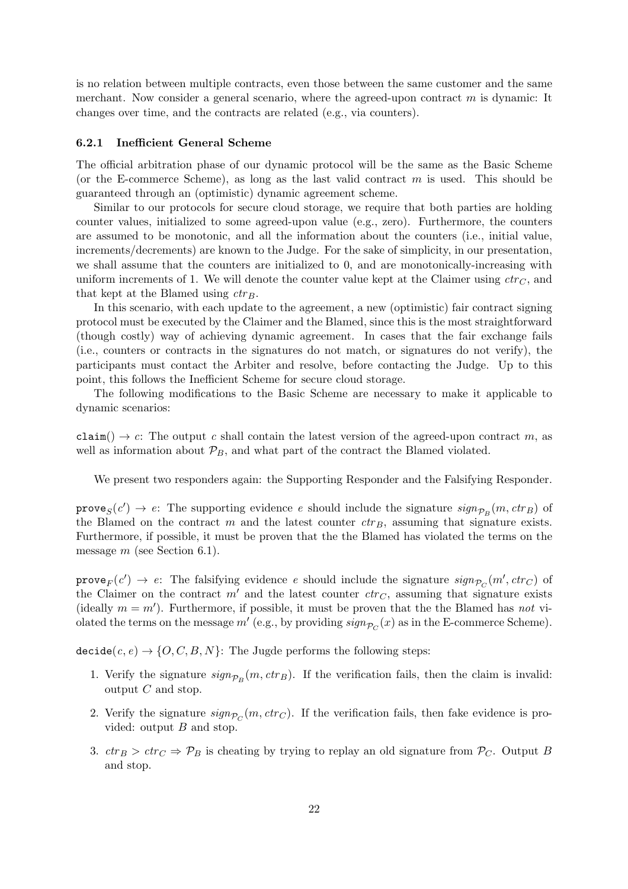is no relation between multiple contracts, even those between the same customer and the same merchant. Now consider a general scenario, where the agreed-upon contract *m* is dynamic: It changes over time, and the contracts are related (e.g., via counters).

#### **6.2.1 Inefficient General Scheme**

The official arbitration phase of our dynamic protocol will be the same as the Basic Scheme (or the E-commerce Scheme), as long as the last valid contract *m* is used. This should be guaranteed through an (optimistic) dynamic agreement scheme.

Similar to our protocols for secure cloud storage, we require that both parties are holding counter values, initialized to some agreed-upon value (e.g., zero). Furthermore, the counters are assumed to be monotonic, and all the information about the counters (i.e., initial value, increments/decrements) are known to the Judge. For the sake of simplicity, in our presentation, we shall assume that the counters are initialized to 0, and are monotonically-increasing with uniform increments of 1. We will denote the counter value kept at the Claimer using *ctrC*, and that kept at the Blamed using  $ctr_B$ .

In this scenario, with each update to the agreement, a new (optimistic) fair contract signing protocol must be executed by the Claimer and the Blamed, since this is the most straightforward (though costly) way of achieving dynamic agreement. In cases that the fair exchange fails (i.e., counters or contracts in the signatures do not match, or signatures do not verify), the participants must contact the Arbiter and resolve, before contacting the Judge. Up to this point, this follows the Inefficient Scheme for secure cloud storage.

The following modifications to the Basic Scheme are necessary to make it applicable to dynamic scenarios:

 $\text{claim}() \rightarrow c$ : The output *c* shall contain the latest version of the agreed-upon contract *m*, as well as information about  $P_B$ , and what part of the contract the Blamed violated.

We present two responders again: the Supporting Responder and the Falsifying Responder.

 $\mathbf{p}$ **E**  $\mathbf{p}$   $\mathbf{p}$   $\mathbf{p}$   $\mathbf{p}$   $\mathbf{p}$   $\mathbf{p}$   $\mathbf{p}$   $\mathbf{p}$   $\mathbf{p}$   $\mathbf{p}$   $\mathbf{p}$   $\mathbf{p}$   $\mathbf{p}$   $\mathbf{p}$   $\mathbf{p}$   $\mathbf{p}$   $\mathbf{p}$   $\mathbf{p}$   $\mathbf{p}$   $\mathbf{p}$   $\mathbf{p}$   $\mathbf{p}$   $\mathbf{p}$   $\$ the Blamed on the contract  $m$  and the latest counter  $ctr_B$ , assuming that signature exists. Furthermore, if possible, it must be proven that the the Blamed has violated the terms on the message *m* (see Section 6.1).

prove<sub>*F*</sub>(*c'*)  $\rightarrow$  *e*: The falsifying evidence *e* should include the signature  $sign_{\mathcal{P}_C}(m', circ)$  of the Claimer on the contract  $m'$  and the latest counter  $ctr_C$ , assuming that signature exists (ideally  $m = m'$ ). Furthermore, if possible, it must be proven that the the Blamed has *not* violated the terms on the message  $m'$  (e.g., by providing  $sign_{\mathcal{P}_C}(x)$  as in the E-commerce Scheme).

 $\text{decide}(c, e) \rightarrow \{O, C, B, N\}$ : The Jugde performs the following steps:

- 1. Verify the signature  $sign_{\mathcal{P}_B}(m,ctr_B)$ . If the verification fails, then the claim is invalid: output *C* and stop.
- 2. Verify the signature  $sign_{\mathcal{P}_C}(m,ctr_C)$ . If the verification fails, then fake evidence is provided: output *B* and stop.
- 3.  $ctr_B > ctr_C \Rightarrow \mathcal{P}_B$  is cheating by trying to replay an old signature from  $\mathcal{P}_C$ . Output *B* and stop.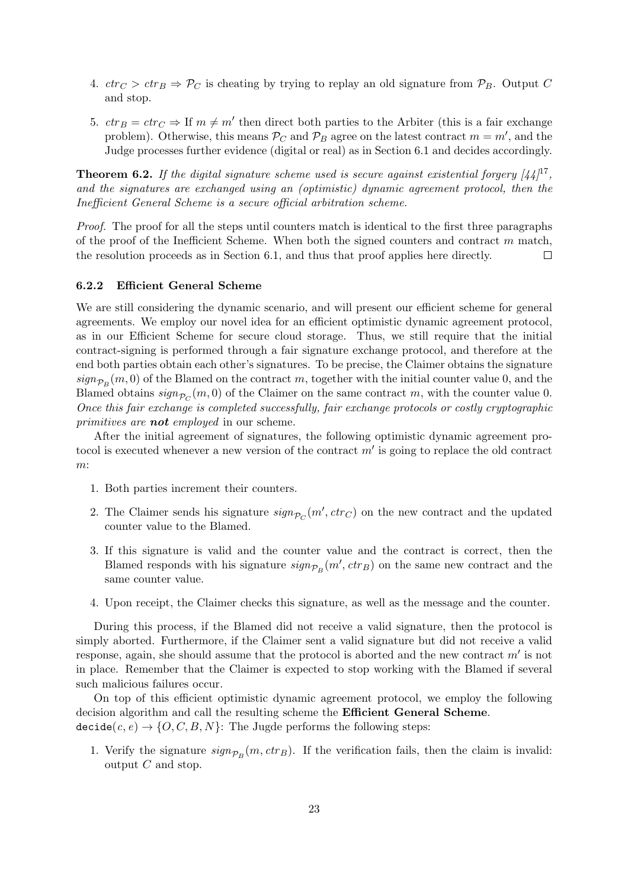- 4.  $ctr_C > str_B \Rightarrow \mathcal{P}_C$  is cheating by trying to replay an old signature from  $\mathcal{P}_B$ . Output C and stop.
- 5.  $ctr_B = str_C \Rightarrow$  If  $m \neq m'$  then direct both parties to the Arbiter (this is a fair exchange problem). Otherwise, this means  $P_C$  and  $P_B$  agree on the latest contract  $m = m'$ , and the Judge processes further evidence (digital or real) as in Section 6.1 and decides accordingly.

**Theorem 6.2.** If the digital signature scheme used is secure against existential forgery  $[44]^{17}$ , *and the signatures are exchanged using an (optimistic) dynamic agreement protocol, then the Inefficient General Scheme is a secure official arbitration scheme.*

*Proof.* The proof for all the steps until counters match is identical to the first three paragraphs of the proof of the Inefficient Scheme. When both the signed counters and contract *m* match, the resolution proceeds as in Section 6.1, and thus that proof applies here directly.  $\Box$ 

#### **6.2.2 Efficient General Scheme**

We are still considering the dynamic scenario, and will present our efficient scheme for general agreements. We employ our novel idea for an efficient optimistic dynamic agreement protocol, as in our Efficient Scheme for secure cloud storage. Thus, we still require that the initial contract-signing is performed through a fair signature exchange protocol, and therefore at the end both parties obtain each other's signatures. To be precise, the Claimer obtains the signature  $sign_{\mathcal{P}_B}(m,0)$  of the Blamed on the contract *m*, together with the initial counter value 0, and the Blamed obtains  $sign_{\mathcal{P}_C}(m, 0)$  of the Claimer on the same contract *m*, with the counter value 0. *Once this fair exchange is completed successfully, fair exchange protocols or costly cryptographic primitives are not employed* in our scheme.

After the initial agreement of signatures, the following optimistic dynamic agreement protocol is executed whenever a new version of the contract *m′* is going to replace the old contract *m*:

- 1. Both parties increment their counters.
- 2. The Claimer sends his signature  $sign_{\mathcal{P}_C}(m', circ)$  on the new contract and the updated counter value to the Blamed.
- 3. If this signature is valid and the counter value and the contract is correct, then the Blamed responds with his signature  $sign_{\mathcal{P}_B}(m', ctr_B)$  on the same new contract and the same counter value.
- 4. Upon receipt, the Claimer checks this signature, as well as the message and the counter.

During this process, if the Blamed did not receive a valid signature, then the protocol is simply aborted. Furthermore, if the Claimer sent a valid signature but did not receive a valid response, again, she should assume that the protocol is aborted and the new contract *m′* is not in place. Remember that the Claimer is expected to stop working with the Blamed if several such malicious failures occur.

On top of this efficient optimistic dynamic agreement protocol, we employ the following decision algorithm and call the resulting scheme the **Efficient General Scheme**.  $\text{decide}(c, e) \rightarrow \{O, C, B, N\}$ : The Jugde performs the following steps:

1. Verify the signature  $sign_{\mathcal{P}_B}(m,ctr_B)$ . If the verification fails, then the claim is invalid: output *C* and stop.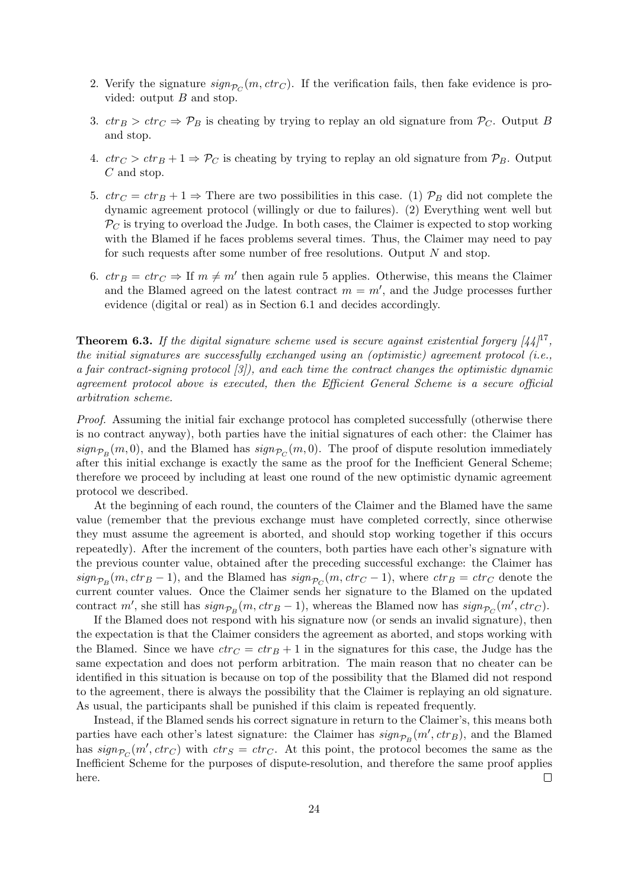- 2. Verify the signature  $sign_{\mathcal{P}_C}(m,ctr_C)$ . If the verification fails, then fake evidence is provided: output *B* and stop.
- 3.  $ctr_B > ctr_C \Rightarrow \mathcal{P}_B$  is cheating by trying to replay an old signature from  $\mathcal{P}_C$ . Output *B* and stop.
- 4.  $\text{ctr}_C > \text{ctr}_B + 1 \Rightarrow \mathcal{P}_C$  is cheating by trying to replay an old signature from  $\mathcal{P}_B$ . Output *C* and stop.
- 5.  $ctr_C = str_B + 1 \Rightarrow$  There are two possibilities in this case. (1)  $\mathcal{P}_B$  did not complete the dynamic agreement protocol (willingly or due to failures). (2) Everything went well but  $P_C$  is trying to overload the Judge. In both cases, the Claimer is expected to stop working with the Blamed if he faces problems several times. Thus, the Claimer may need to pay for such requests after some number of free resolutions. Output *N* and stop.
- 6.  $ctr_B = str_C \Rightarrow$  If  $m \neq m'$  then again rule 5 applies. Otherwise, this means the Claimer and the Blamed agreed on the latest contract  $m = m'$ , and the Judge processes further evidence (digital or real) as in Section 6.1 and decides accordingly.

**Theorem 6.3.** If the digital signature scheme used is secure against existential forgery  $[44]^{17}$ , *the initial signatures are successfully exchanged using an (optimistic) agreement protocol (i.e., a fair contract-signing protocol [3]), and each time the contract changes the optimistic dynamic agreement protocol above is executed, then the Efficient General Scheme is a secure official arbitration scheme.*

*Proof.* Assuming the initial fair exchange protocol has completed successfully (otherwise there is no contract anyway), both parties have the initial signatures of each other: the Claimer has  $sign_{\mathcal{P}_B}(m,0)$ , and the Blamed has  $sign_{\mathcal{P}_C}(m,0)$ . The proof of dispute resolution immediately after this initial exchange is exactly the same as the proof for the Inefficient General Scheme; therefore we proceed by including at least one round of the new optimistic dynamic agreement protocol we described.

At the beginning of each round, the counters of the Claimer and the Blamed have the same value (remember that the previous exchange must have completed correctly, since otherwise they must assume the agreement is aborted, and should stop working together if this occurs repeatedly). After the increment of the counters, both parties have each other's signature with the previous counter value, obtained after the preceding successful exchange: the Claimer has  $sign_{\mathcal{P}_B}(m, ctr_B - 1)$ , and the Blamed has  $sign_{\mathcal{P}_C}(m, ctr_C - 1)$ , where  $ctr_B = circ$  denote the current counter values. Once the Claimer sends her signature to the Blamed on the updated contract  $m'$ , she still has  $sign_{\mathcal{P}_B}(m, ctr_B - 1)$ , whereas the Blamed now has  $sign_{\mathcal{P}_C}(m', ctr_C)$ .

If the Blamed does not respond with his signature now (or sends an invalid signature), then the expectation is that the Claimer considers the agreement as aborted, and stops working with the Blamed. Since we have  $ctr_C = str_B + 1$  in the signatures for this case, the Judge has the same expectation and does not perform arbitration. The main reason that no cheater can be identified in this situation is because on top of the possibility that the Blamed did not respond to the agreement, there is always the possibility that the Claimer is replaying an old signature. As usual, the participants shall be punished if this claim is repeated frequently.

Instead, if the Blamed sends his correct signature in return to the Claimer's, this means both parties have each other's latest signature: the Claimer has  $sign_{\mathcal{P}_B}(m', ctr_B)$ , and the Blamed has  $sign_{\mathcal{P}_C}(m', ctr_C)$  with  $ctr_S = ctr_C$ . At this point, the protocol becomes the same as the Inefficient Scheme for the purposes of dispute-resolution, and therefore the same proof applies here.  $\Box$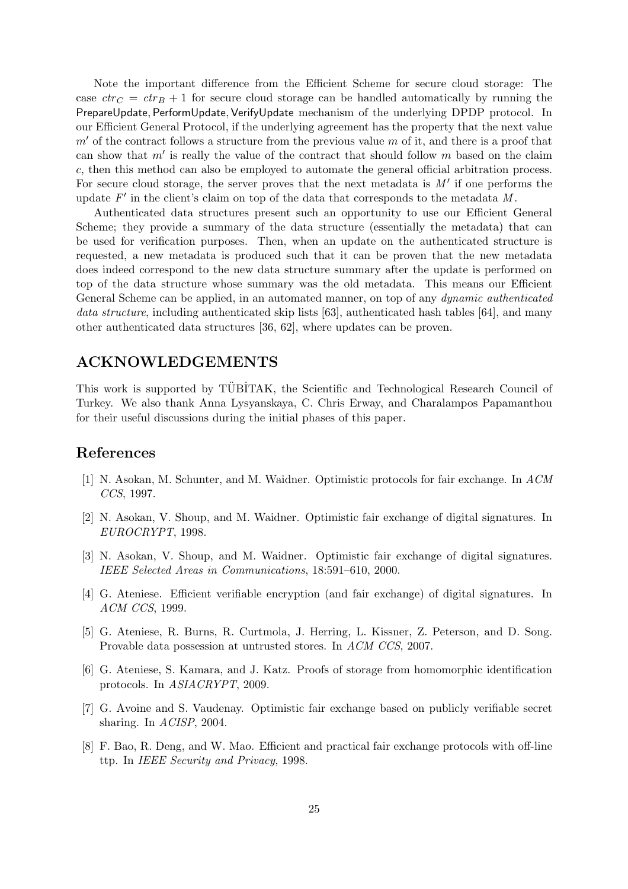Note the important difference from the Efficient Scheme for secure cloud storage: The case  $ctr<sub>C</sub> = str<sub>B</sub> + 1$  for secure cloud storage can be handled automatically by running the PrepareUpdate*,* PerformUpdate*,* VerifyUpdate mechanism of the underlying DPDP protocol. In our Efficient General Protocol, if the underlying agreement has the property that the next value *m′* of the contract follows a structure from the previous value *m* of it, and there is a proof that can show that *m′* is really the value of the contract that should follow *m* based on the claim *c*, then this method can also be employed to automate the general official arbitration process. For secure cloud storage, the server proves that the next metadata is  $M'$  if one performs the update *F ′* in the client's claim on top of the data that corresponds to the metadata *M* .

Authenticated data structures present such an opportunity to use our Efficient General Scheme; they provide a summary of the data structure (essentially the metadata) that can be used for verification purposes. Then, when an update on the authenticated structure is requested, a new metadata is produced such that it can be proven that the new metadata does indeed correspond to the new data structure summary after the update is performed on top of the data structure whose summary was the old metadata. This means our Efficient General Scheme can be applied, in an automated manner, on top of any *dynamic authenticated data structure*, including authenticated skip lists [63], authenticated hash tables [64], and many other authenticated data structures [36, 62], where updates can be proven.

## **ACKNOWLEDGEMENTS**

This work is supported by TÜBİTAK, the Scientific and Technological Research Council of Turkey. We also thank Anna Lysyanskaya, C. Chris Erway, and Charalampos Papamanthou for their useful discussions during the initial phases of this paper.

## **References**

- [1] N. Asokan, M. Schunter, and M. Waidner. Optimistic protocols for fair exchange. In *ACM CCS*, 1997.
- [2] N. Asokan, V. Shoup, and M. Waidner. Optimistic fair exchange of digital signatures. In *EUROCRYPT*, 1998.
- [3] N. Asokan, V. Shoup, and M. Waidner. Optimistic fair exchange of digital signatures. *IEEE Selected Areas in Communications*, 18:591–610, 2000.
- [4] G. Ateniese. Efficient verifiable encryption (and fair exchange) of digital signatures. In *ACM CCS*, 1999.
- [5] G. Ateniese, R. Burns, R. Curtmola, J. Herring, L. Kissner, Z. Peterson, and D. Song. Provable data possession at untrusted stores. In *ACM CCS*, 2007.
- [6] G. Ateniese, S. Kamara, and J. Katz. Proofs of storage from homomorphic identification protocols. In *ASIACRYPT*, 2009.
- [7] G. Avoine and S. Vaudenay. Optimistic fair exchange based on publicly verifiable secret sharing. In *ACISP*, 2004.
- [8] F. Bao, R. Deng, and W. Mao. Efficient and practical fair exchange protocols with off-line ttp. In *IEEE Security and Privacy*, 1998.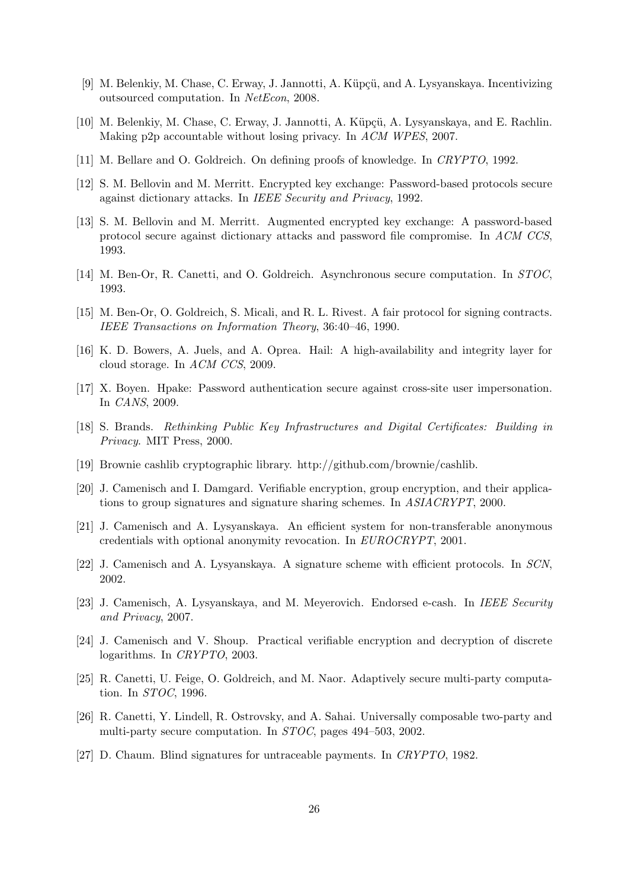- [9] M. Belenkiy, M. Chase, C. Erway, J. Jannotti, A. Küpçü, and A. Lysyanskaya. Incentivizing outsourced computation. In *NetEcon*, 2008.
- [10] M. Belenkiy, M. Chase, C. Erway, J. Jannotti, A. Küpçü, A. Lysyanskaya, and E. Rachlin. Making p2p accountable without losing privacy. In *ACM WPES*, 2007.
- [11] M. Bellare and O. Goldreich. On defining proofs of knowledge. In *CRYPTO*, 1992.
- [12] S. M. Bellovin and M. Merritt. Encrypted key exchange: Password-based protocols secure against dictionary attacks. In *IEEE Security and Privacy*, 1992.
- [13] S. M. Bellovin and M. Merritt. Augmented encrypted key exchange: A password-based protocol secure against dictionary attacks and password file compromise. In *ACM CCS*, 1993.
- [14] M. Ben-Or, R. Canetti, and O. Goldreich. Asynchronous secure computation. In *STOC*, 1993.
- [15] M. Ben-Or, O. Goldreich, S. Micali, and R. L. Rivest. A fair protocol for signing contracts. *IEEE Transactions on Information Theory*, 36:40–46, 1990.
- [16] K. D. Bowers, A. Juels, and A. Oprea. Hail: A high-availability and integrity layer for cloud storage. In *ACM CCS*, 2009.
- [17] X. Boyen. Hpake: Password authentication secure against cross-site user impersonation. In *CANS*, 2009.
- [18] S. Brands. *Rethinking Public Key Infrastructures and Digital Certificates: Building in Privacy*. MIT Press, 2000.
- [19] Brownie cashlib cryptographic library. http://github.com/brownie/cashlib.
- [20] J. Camenisch and I. Damgard. Verifiable encryption, group encryption, and their applications to group signatures and signature sharing schemes. In *ASIACRYPT*, 2000.
- [21] J. Camenisch and A. Lysyanskaya. An efficient system for non-transferable anonymous credentials with optional anonymity revocation. In *EUROCRYPT*, 2001.
- [22] J. Camenisch and A. Lysyanskaya. A signature scheme with efficient protocols. In *SCN*, 2002.
- [23] J. Camenisch, A. Lysyanskaya, and M. Meyerovich. Endorsed e-cash. In *IEEE Security and Privacy*, 2007.
- [24] J. Camenisch and V. Shoup. Practical verifiable encryption and decryption of discrete logarithms. In *CRYPTO*, 2003.
- [25] R. Canetti, U. Feige, O. Goldreich, and M. Naor. Adaptively secure multi-party computation. In *STOC*, 1996.
- [26] R. Canetti, Y. Lindell, R. Ostrovsky, and A. Sahai. Universally composable two-party and multi-party secure computation. In *STOC*, pages 494–503, 2002.
- [27] D. Chaum. Blind signatures for untraceable payments. In *CRYPTO*, 1982.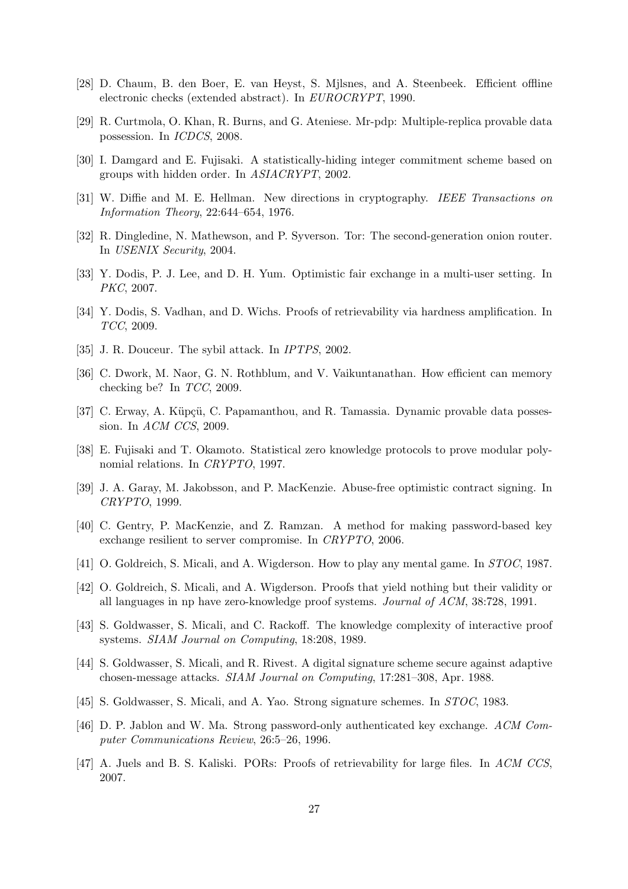- [28] D. Chaum, B. den Boer, E. van Heyst, S. Mjlsnes, and A. Steenbeek. Efficient offline electronic checks (extended abstract). In *EUROCRYPT*, 1990.
- [29] R. Curtmola, O. Khan, R. Burns, and G. Ateniese. Mr-pdp: Multiple-replica provable data possession. In *ICDCS*, 2008.
- [30] I. Damgard and E. Fujisaki. A statistically-hiding integer commitment scheme based on groups with hidden order. In *ASIACRYPT*, 2002.
- [31] W. Diffie and M. E. Hellman. New directions in cryptography. *IEEE Transactions on Information Theory*, 22:644–654, 1976.
- [32] R. Dingledine, N. Mathewson, and P. Syverson. Tor: The second-generation onion router. In *USENIX Security*, 2004.
- [33] Y. Dodis, P. J. Lee, and D. H. Yum. Optimistic fair exchange in a multi-user setting. In *PKC*, 2007.
- [34] Y. Dodis, S. Vadhan, and D. Wichs. Proofs of retrievability via hardness amplification. In *TCC*, 2009.
- [35] J. R. Douceur. The sybil attack. In *IPTPS*, 2002.
- [36] C. Dwork, M. Naor, G. N. Rothblum, and V. Vaikuntanathan. How efficient can memory checking be? In *TCC*, 2009.
- [37] C. Erway, A. Küpçü, C. Papamanthou, and R. Tamassia. Dynamic provable data possession. In *ACM CCS*, 2009.
- [38] E. Fujisaki and T. Okamoto. Statistical zero knowledge protocols to prove modular polynomial relations. In *CRYPTO*, 1997.
- [39] J. A. Garay, M. Jakobsson, and P. MacKenzie. Abuse-free optimistic contract signing. In *CRYPTO*, 1999.
- [40] C. Gentry, P. MacKenzie, and Z. Ramzan. A method for making password-based key exchange resilient to server compromise. In *CRYPTO*, 2006.
- [41] O. Goldreich, S. Micali, and A. Wigderson. How to play any mental game. In *STOC*, 1987.
- [42] O. Goldreich, S. Micali, and A. Wigderson. Proofs that yield nothing but their validity or all languages in np have zero-knowledge proof systems. *Journal of ACM*, 38:728, 1991.
- [43] S. Goldwasser, S. Micali, and C. Rackoff. The knowledge complexity of interactive proof systems. *SIAM Journal on Computing*, 18:208, 1989.
- [44] S. Goldwasser, S. Micali, and R. Rivest. A digital signature scheme secure against adaptive chosen-message attacks. *SIAM Journal on Computing*, 17:281–308, Apr. 1988.
- [45] S. Goldwasser, S. Micali, and A. Yao. Strong signature schemes. In *STOC*, 1983.
- [46] D. P. Jablon and W. Ma. Strong password-only authenticated key exchange. *ACM Computer Communications Review*, 26:5–26, 1996.
- [47] A. Juels and B. S. Kaliski. PORs: Proofs of retrievability for large files. In *ACM CCS*, 2007.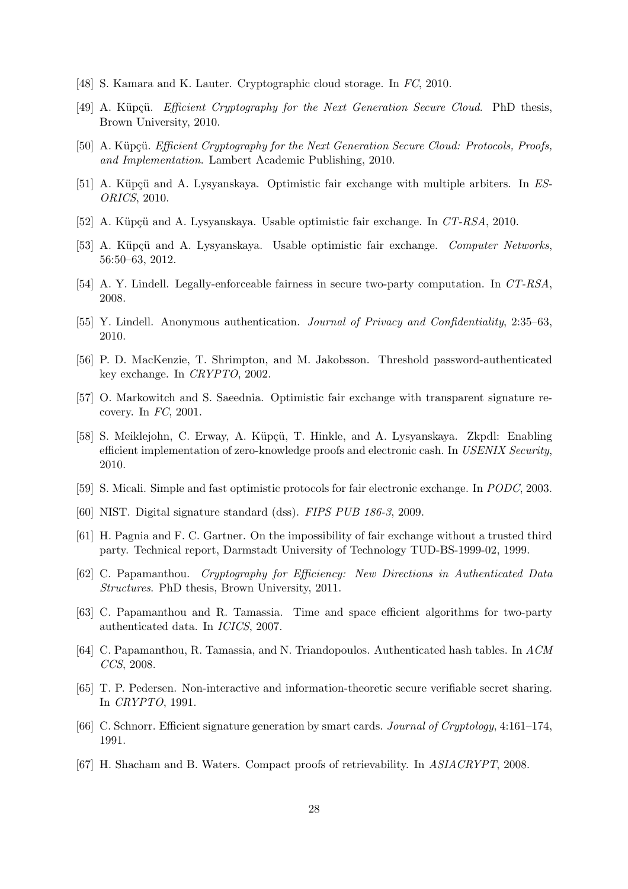- [48] S. Kamara and K. Lauter. Cryptographic cloud storage. In *FC*, 2010.
- [49] A. Küpçü. *Efficient Cryptography for the Next Generation Secure Cloud*. PhD thesis, Brown University, 2010.
- [50] A. Küpçü. *Efficient Cryptography for the Next Generation Secure Cloud: Protocols, Proofs, and Implementation*. Lambert Academic Publishing, 2010.
- [51] A. Küpçü and A. Lysyanskaya. Optimistic fair exchange with multiple arbiters. In *ES*-*ORICS*, 2010.
- [52] A. K¨up¸c¨u and A. Lysyanskaya. Usable optimistic fair exchange. In *CT-RSA*, 2010.
- [53] A. Küpçü and A. Lysyanskaya. Usable optimistic fair exchange. *Computer Networks*, 56:50–63, 2012.
- [54] A. Y. Lindell. Legally-enforceable fairness in secure two-party computation. In *CT-RSA*, 2008.
- [55] Y. Lindell. Anonymous authentication. *Journal of Privacy and Confidentiality*, 2:35–63, 2010.
- [56] P. D. MacKenzie, T. Shrimpton, and M. Jakobsson. Threshold password-authenticated key exchange. In *CRYPTO*, 2002.
- [57] O. Markowitch and S. Saeednia. Optimistic fair exchange with transparent signature recovery. In *FC*, 2001.
- [58] S. Meiklejohn, C. Erway, A. Küpçü, T. Hinkle, and A. Lysyanskaya. Zkpdl: Enabling efficient implementation of zero-knowledge proofs and electronic cash. In *USENIX Security*, 2010.
- [59] S. Micali. Simple and fast optimistic protocols for fair electronic exchange. In *PODC*, 2003.
- [60] NIST. Digital signature standard (dss). *FIPS PUB 186-3*, 2009.
- [61] H. Pagnia and F. C. Gartner. On the impossibility of fair exchange without a trusted third party. Technical report, Darmstadt University of Technology TUD-BS-1999-02, 1999.
- [62] C. Papamanthou. *Cryptography for Efficiency: New Directions in Authenticated Data Structures*. PhD thesis, Brown University, 2011.
- [63] C. Papamanthou and R. Tamassia. Time and space efficient algorithms for two-party authenticated data. In *ICICS*, 2007.
- [64] C. Papamanthou, R. Tamassia, and N. Triandopoulos. Authenticated hash tables. In *ACM CCS*, 2008.
- [65] T. P. Pedersen. Non-interactive and information-theoretic secure verifiable secret sharing. In *CRYPTO*, 1991.
- [66] C. Schnorr. Efficient signature generation by smart cards. *Journal of Cryptology*, 4:161–174, 1991.
- [67] H. Shacham and B. Waters. Compact proofs of retrievability. In *ASIACRYPT*, 2008.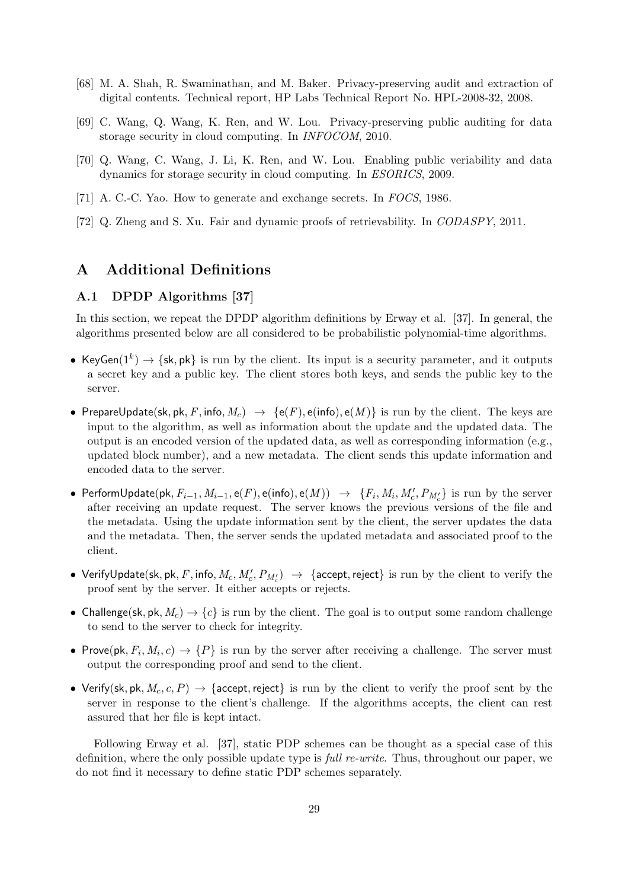- [68] M. A. Shah, R. Swaminathan, and M. Baker. Privacy-preserving audit and extraction of digital contents. Technical report, HP Labs Technical Report No. HPL-2008-32, 2008.
- [69] C. Wang, Q. Wang, K. Ren, and W. Lou. Privacy-preserving public auditing for data storage security in cloud computing. In *INFOCOM*, 2010.
- [70] Q. Wang, C. Wang, J. Li, K. Ren, and W. Lou. Enabling public veriability and data dynamics for storage security in cloud computing. In *ESORICS*, 2009.
- [71] A. C.-C. Yao. How to generate and exchange secrets. In *FOCS*, 1986.
- [72] Q. Zheng and S. Xu. Fair and dynamic proofs of retrievability. In *CODASPY*, 2011.

## **A Additional Definitions**

### **A.1 DPDP Algorithms [37]**

In this section, we repeat the DPDP algorithm definitions by Erway et al. [37]. In general, the algorithms presented below are all considered to be probabilistic polynomial-time algorithms.

- KeyGen( $1^k$ )  $\rightarrow$  {sk, pk} is run by the client. Its input is a security parameter, and it outputs a secret key and a public key. The client stores both keys, and sends the public key to the server.
- PrepareUpdate(sk, pk, F, info,  $M_c$ )  $\rightarrow$  {e(F), e(info), e(M)} is run by the client. The keys are input to the algorithm, as well as information about the update and the updated data. The output is an encoded version of the updated data, as well as corresponding information (e.g., updated block number), and a new metadata. The client sends this update information and encoded data to the server.
- PerformUpdate(pk,  $F_{i-1}, M_{i-1}, e(F), e(\text{info}), e(M)) \rightarrow \{F_i, M_i, M'_c, P_{M'_c}\}$  is run by the server after receiving an update request. The server knows the previous versions of the file and the metadata. Using the update information sent by the client, the server updates the data and the metadata. Then, the server sends the updated metadata and associated proof to the client.
- Verify $\sf{Update}(\sf{sk}, \sf{pk}, \sf{F}, \sf{info}, \mathit{M}_c, \mathit{M}'_c, \mathit{P}_{\mathit{M}'_c}) \rightarrow \{\sf{accept}, \sf{reject}\} \text{ is run by the client to verify the } \sf{f} \text{ to } \sf{N}'_c \text{ to } \sf{N}'_c \text{ to } \sf{N}'_c \text{ to } \sf{N}'_c \text{ to } \sf{N}'_c \text{ to } \sf{N}'_c \text{ to } \sf{N}'_c \text{ to } \sf{N}'_c \text{ to } \sf{N}'_c \text{ to } \sf{N}'_c \text{ to$ proof sent by the server. It either accepts or rejects.
- Challenge(sk, pk,  $M_c$ )  $\rightarrow$  { $c$ } is run by the client. The goal is to output some random challenge to send to the server to check for integrity.
- Prove(pk,  $F_i$ ,  $M_i$ ,  $c$ )  $\rightarrow$  {P} is run by the server after receiving a challenge. The server must output the corresponding proof and send to the client.
- Verify(sk, pk,  $M_c$ ,  $c$ ,  $P$ )  $\rightarrow$  {accept, reject} is run by the client to verify the proof sent by the server in response to the client's challenge. If the algorithms accepts, the client can rest assured that her file is kept intact.

Following Erway et al. [37], static PDP schemes can be thought as a special case of this definition, where the only possible update type is *full re-write*. Thus, throughout our paper, we do not find it necessary to define static PDP schemes separately.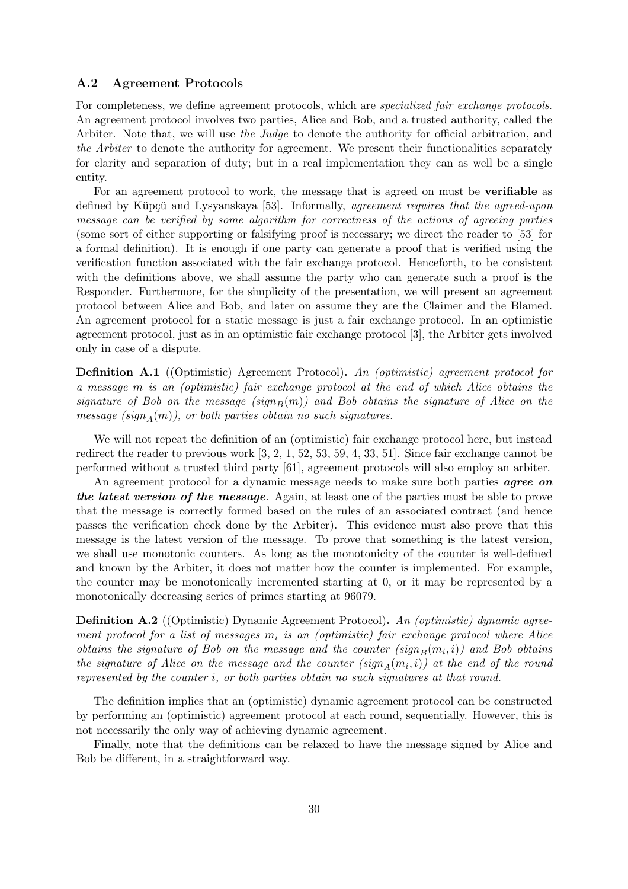### **A.2 Agreement Protocols**

For completeness, we define agreement protocols, which are *specialized fair exchange protocols*. An agreement protocol involves two parties, Alice and Bob, and a trusted authority, called the Arbiter. Note that, we will use *the Judge* to denote the authority for official arbitration, and *the Arbiter* to denote the authority for agreement. We present their functionalities separately for clarity and separation of duty; but in a real implementation they can as well be a single entity.

For an agreement protocol to work, the message that is agreed on must be **verifiable** as defined by Küpçü and Lysyanskaya [53]. Informally, *agreement requires that the agreed-upon message can be verified by some algorithm for correctness of the actions of agreeing parties* (some sort of either supporting or falsifying proof is necessary; we direct the reader to [53] for a formal definition). It is enough if one party can generate a proof that is verified using the verification function associated with the fair exchange protocol. Henceforth, to be consistent with the definitions above, we shall assume the party who can generate such a proof is the Responder. Furthermore, for the simplicity of the presentation, we will present an agreement protocol between Alice and Bob, and later on assume they are the Claimer and the Blamed. An agreement protocol for a static message is just a fair exchange protocol. In an optimistic agreement protocol, just as in an optimistic fair exchange protocol [3], the Arbiter gets involved only in case of a dispute.

**Definition A.1** ((Optimistic) Agreement Protocol)**.** *An (optimistic) agreement protocol for a message m is an (optimistic) fair exchange protocol at the end of which Alice obtains the signature of Bob on the message (sign* $_B(m)$ ) and Bob obtains the signature of Alice on the *message (sign* $_A(m)$ ), or both parties obtain no such signatures.

We will not repeat the definition of an (optimistic) fair exchange protocol here, but instead redirect the reader to previous work [3, 2, 1, 52, 53, 59, 4, 33, 51]. Since fair exchange cannot be performed without a trusted third party [61], agreement protocols will also employ an arbiter.

An agreement protocol for a dynamic message needs to make sure both parties *agree on the latest version of the message*. Again, at least one of the parties must be able to prove that the message is correctly formed based on the rules of an associated contract (and hence passes the verification check done by the Arbiter). This evidence must also prove that this message is the latest version of the message. To prove that something is the latest version, we shall use monotonic counters. As long as the monotonicity of the counter is well-defined and known by the Arbiter, it does not matter how the counter is implemented. For example, the counter may be monotonically incremented starting at 0, or it may be represented by a monotonically decreasing series of primes starting at 96079.

**Definition A.2** ((Optimistic) Dynamic Agreement Protocol)**.** *An (optimistic) dynamic agreement protocol for a list of messages m<sup>i</sup> is an (optimistic) fair exchange protocol where Alice obtains the signature of Bob on the message and the counter*  $(sign_B(m_i,i))$  *and Bob obtains the signature of Alice on the message and the counter*  $(sign_A(m_i, i))$  *at the end of the round represented by the counter i, or both parties obtain no such signatures at that round.*

The definition implies that an (optimistic) dynamic agreement protocol can be constructed by performing an (optimistic) agreement protocol at each round, sequentially. However, this is not necessarily the only way of achieving dynamic agreement.

Finally, note that the definitions can be relaxed to have the message signed by Alice and Bob be different, in a straightforward way.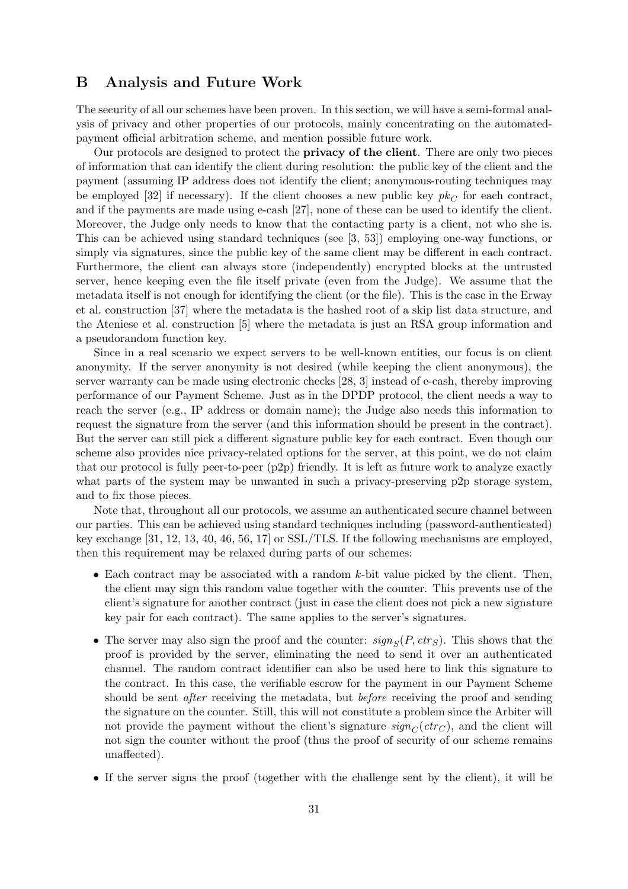## **B Analysis and Future Work**

The security of all our schemes have been proven. In this section, we will have a semi-formal analysis of privacy and other properties of our protocols, mainly concentrating on the automatedpayment official arbitration scheme, and mention possible future work.

Our protocols are designed to protect the **privacy of the client**. There are only two pieces of information that can identify the client during resolution: the public key of the client and the payment (assuming IP address does not identify the client; anonymous-routing techniques may be employed [32] if necessary). If the client chooses a new public key  $pk_C$  for each contract, and if the payments are made using e-cash [27], none of these can be used to identify the client. Moreover, the Judge only needs to know that the contacting party is a client, not who she is. This can be achieved using standard techniques (see [3, 53]) employing one-way functions, or simply via signatures, since the public key of the same client may be different in each contract. Furthermore, the client can always store (independently) encrypted blocks at the untrusted server, hence keeping even the file itself private (even from the Judge). We assume that the metadata itself is not enough for identifying the client (or the file). This is the case in the Erway et al. construction [37] where the metadata is the hashed root of a skip list data structure, and the Ateniese et al. construction [5] where the metadata is just an RSA group information and a pseudorandom function key.

Since in a real scenario we expect servers to be well-known entities, our focus is on client anonymity. If the server anonymity is not desired (while keeping the client anonymous), the server warranty can be made using electronic checks [28, 3] instead of e-cash, thereby improving performance of our Payment Scheme. Just as in the DPDP protocol, the client needs a way to reach the server (e.g., IP address or domain name); the Judge also needs this information to request the signature from the server (and this information should be present in the contract). But the server can still pick a different signature public key for each contract. Even though our scheme also provides nice privacy-related options for the server, at this point, we do not claim that our protocol is fully peer-to-peer (p2p) friendly. It is left as future work to analyze exactly what parts of the system may be unwanted in such a privacy-preserving p2p storage system, and to fix those pieces.

Note that, throughout all our protocols, we assume an authenticated secure channel between our parties. This can be achieved using standard techniques including (password-authenticated) key exchange [31, 12, 13, 40, 46, 56, 17] or SSL/TLS. If the following mechanisms are employed, then this requirement may be relaxed during parts of our schemes:

- *•* Each contract may be associated with a random *k*-bit value picked by the client. Then, the client may sign this random value together with the counter. This prevents use of the client's signature for another contract (just in case the client does not pick a new signature key pair for each contract). The same applies to the server's signatures.
- *•* The server may also sign the proof and the counter: *sign<sup>S</sup>* (*P, ctrS*). This shows that the proof is provided by the server, eliminating the need to send it over an authenticated channel. The random contract identifier can also be used here to link this signature to the contract. In this case, the verifiable escrow for the payment in our Payment Scheme should be sent *after* receiving the metadata, but *before* receiving the proof and sending the signature on the counter. Still, this will not constitute a problem since the Arbiter will not provide the payment without the client's signature  $sign_C(ctr_C)$ , and the client will not sign the counter without the proof (thus the proof of security of our scheme remains unaffected).
- If the server signs the proof (together with the challenge sent by the client), it will be